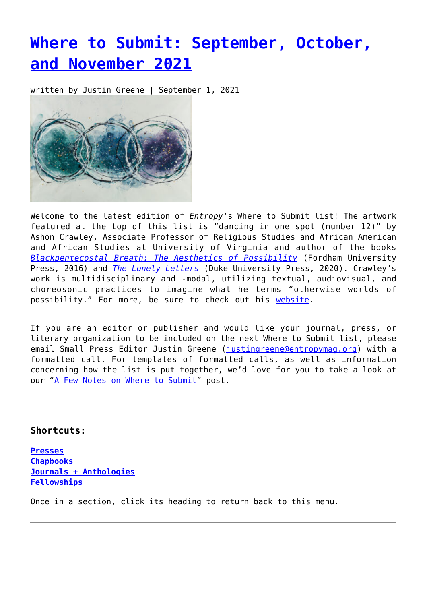# **[Where to Submit: September, October,](https://entropymag.org/where-to-submit-september-october-and-november-2021/) [and November 2021](https://entropymag.org/where-to-submit-september-october-and-november-2021/)**

written by Justin Greene | September 1, 2021



Welcome to the latest edition of *Entropy*'s Where to Submit list! The artwork featured at the top of this list is "dancing in one spot (number 12)" by Ashon Crawley, Associate Professor of Religious Studies and African American and African Studies at University of Virginia and author of the books *[Blackpentecostal Breath: The Aesthetics of Possibility](https://www.fordhampress.com/9780823274550/blackpentecostal-breath/)* (Fordham University Press, 2016) and *[The Lonely Letters](https://www.dukeupress.edu/the-lonely-letters)* (Duke University Press, 2020). Crawley's work is multidisciplinary and -modal, utilizing textual, audiovisual, and choreosonic practices to imagine what he terms "otherwise worlds of possibility." For more, be sure to check out his [website](https://ashoncrawley.com/).

If you are an editor or publisher and would like your journal, press, or literary organization to be included on the next Where to Submit list, please email Small Press Editor Justin Greene ([justingreene@entropymag.org\)](mailto:justingreene@entropymag.org) with a formatted call. For templates of formatted calls, as well as information concerning how the list is put together, we'd love for you to take a look at our "[A Few Notes on Where to Submit](https://entropymag.org/a-few-notes-on-where-to-submit/)" post.

## <span id="page-0-0"></span>**Shortcuts:**

**[Presses](#page-0-0) [Chapbooks](#page-5-0) [Journals + Anthologies](#page-8-0) [Fellowships](#page-27-0)**

Once in a section, click its heading to return back to this menu.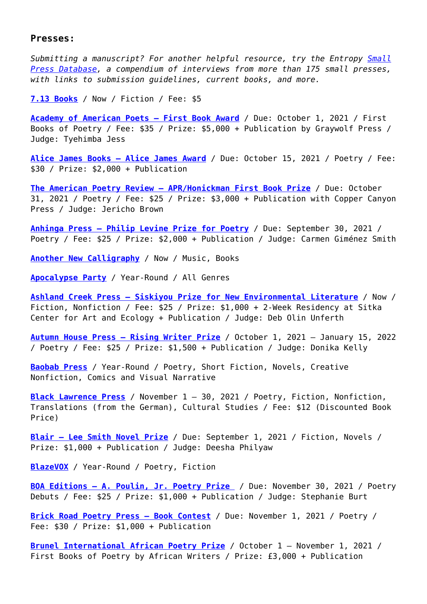### **Presses:**

*Submitting a manuscript? For another helpful resource, try the Entropy [Small](https://entropymag.org/small-press-database/) [Press Database](https://entropymag.org/small-press-database/), a compendium of interviews from more than 175 small presses, with links to submission guidelines, current books, and more.*

**[7.13 Books](https://713books.submittable.com/submit)** / Now / Fiction / Fee: \$5

**[Academy of American Poets — First Book Award](https://poets.org/academy-american-poets/prizes/first-book-award)** / Due: October 1, 2021 / First Books of Poetry / Fee: \$35 / Prize: \$5,000 + Publication by Graywolf Press / Judge: Tyehimba Jess

**[Alice James Books – Alice James Award](https://www.alicejamesbooks.org/submit#AliceJamesAward)** / Due: October 15, 2021 / Poetry / Fee: \$30 / Prize: \$2,000 + Publication

**[The American Poetry Review – APR/Honickman First Book Prize](https://americanpoetryreview.submittable.com/submit)** / Due: October 31, 2021 / Poetry / Fee: \$25 / Prize: \$3,000 + Publication with Copper Canyon Press / Judge: Jericho Brown

**[Anhinga Press — Philip Levine Prize for Poetry](http://www.anhingapress.org/philip-levine-prize)** / Due: September 30, 2021 / Poetry / Fee: \$25 / Prize: \$2,000 + Publication / Judge: Carmen Giménez Smith

**[Another New Calligraphy](http://www.anothernewcalligraphy.com/submissions.html)** / Now / Music, Books

**[Apocalypse Party](https://www.apocalypse-party.com/submissions.html)** / Year-Round / All Genres

**[Ashland Creek Press – Siskiyou Prize for New Environmental Literature](http://siskiyouprize.com/guidelines.html)** / Now / Fiction, Nonfiction / Fee: \$25 / Prize: \$1,000 + 2-Week Residency at Sitka Center for Art and Ecology + Publication / Judge: Deb Olin Unferth

**[Autumn House Press — Rising Writer Prize](https://www.autumnhouse.org/submissions/rising-writers-prize/)** / October 1, 2021 – January 15, 2022 / Poetry / Fee: \$25 / Prize: \$1,500 + Publication / Judge: Donika Kelly

**[Baobab Press](https://baobabpress.submittable.com/submit)** / Year-Round / Poetry, Short Fiction, Novels, Creative Nonfiction, Comics and Visual Narrative

**[Black Lawrence Press](hhttps://blacklawrencepress.com/submissions-and-contests/the-big-moose-prize/ target=)** / November 1 – 30, 2021 / Poetry, Fiction, Nonfiction, Translations (from the German), Cultural Studies / Fee: \$12 (Discounted Book Price)

**[Blair – Lee Smith Novel Prize](https://www.blairpub.com/submissions/)** / Due: September 1, 2021 / Fiction, Novels / Prize: \$1,000 + Publication / Judge: Deesha Philyaw

**[BlazeVOX](http://www.blazevox.org/index.php/faqs/)** / Year-Round / Poetry, Fiction

**[BOA Editions — A. Poulin, Jr. Poetry Prize](https://www.boaeditions.org/pages/a-poulin-jr-poetry-prize)** / Due: November 30, 2021 / Poetry Debuts / Fee: \$25 / Prize: \$1,000 + Publication / Judge: Stephanie Burt

**[Brick Road Poetry Press – Book Contest](https://www.brickroadpoetrypress.com/poetry-book-contest/)** / Due: November 1, 2021 / Poetry / Fee: \$30 / Prize: \$1,000 + Publication

**[Brunel International African Poetry Prize](http://www.africanpoetryprize.org/rules)** / October 1 – November 1, 2021 / First Books of Poetry by African Writers / Prize: £3,000 + Publication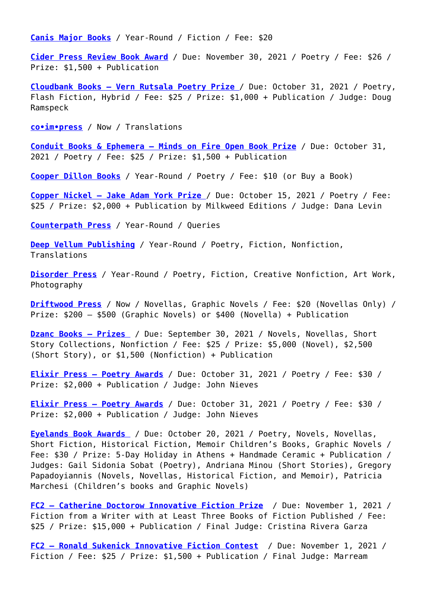**[Canis Major Books](https://www.canismajorbooks.com/submission-guidelines)** / Year-Round / Fiction / Fee: \$20

**[Cider Press Review Book Award](https://ciderpressreview.com/bookaward/book-award-submission-guidelines/#.YSQ1g9NKi3L)** / Due: November 30, 2021 / Poetry / Fee: \$26 / Prize: \$1,500 + Publication

**[Cloudbank Books – Vern Rutsala Poetry Prize](https://cloudbankbooks.com/contest-rules/)** / Due: October 31, 2021 / Poetry, Flash Fiction, Hybrid / Fee: \$25 / Prize: \$1,000 + Publication / Judge: Doug Ramspeck

**[co•im•press](https://coimpress.submittable.com/submit)** / Now / Translations

**[Conduit Books & Ephemera – Minds on Fire Open Book Prize](https://conduit.submittable.com/submit)** / Due: October 31, 2021 / Poetry / Fee: \$25 / Prize: \$1,500 + Publication

**[Cooper Dillon Books](https://cooperdillon.submittable.com/submit)** / Year-Round / Poetry / Fee: \$10 (or Buy a Book)

**[Copper Nickel – Jake Adam York Prize](http://copper-nickel.org/bookprize/)** / Due: October 15, 2021 / Poetry / Fee: \$25 / Prize: \$2,000 + Publication by Milkweed Editions / Judge: Dana Levin

**[Counterpath Press](http://counterpathpress.org/contact)** / Year-Round / Queries

**[Deep Vellum Publishing](https://www.deepvellum.org/submissions)** / Year-Round / Poetry, Fiction, Nonfiction, Translations

**[Disorder Press](http://disorderpress.com/submissions/)** / Year-Round / Poetry, Fiction, Creative Nonfiction, Art Work, Photography

**[Driftwood Press](https://www.driftwoodpress.net/submit/)** / Now / Novellas, Graphic Novels / Fee: \$20 (Novellas Only) / Prize: \$200 – \$500 (Graphic Novels) or \$400 (Novella) + Publication

**[Dzanc Books — Prizes](https://dzancbooks.submittable.com/submit)** / Due: September 30, 2021 / Novels, Novellas, Short Story Collections, Nonfiction / Fee: \$25 / Prize: \$5,000 (Novel), \$2,500 (Short Story), or \$1,500 (Nonfiction) + Publication

**[Elixir Press — Poetry Awards](http://elixirpress.com/guidelines/annual-poetry-awards)** / Due: October 31, 2021 / Poetry / Fee: \$30 / Prize: \$2,000 + Publication / Judge: John Nieves

**[Elixir Press — Poetry Awards](http://elixirpress.com/guidelines/annual-poetry-awards)** / Due: October 31, 2021 / Poetry / Fee: \$30 / Prize: \$2,000 + Publication / Judge: John Nieves

**[Eyelands Book Awards](https://eyelands.gr/english-section/)** / Due: October 20, 2021 / Poetry, Novels, Novellas, Short Fiction, Historical Fiction, Memoir Children's Books, Graphic Novels / Fee: \$30 / Prize: 5-Day Holiday in Athens + Handmade Ceramic + Publication / Judges: Gail Sidonia Sobat (Poetry), Andriana Minou (Short Stories), Gregory Papadoyiannis (Novels, Novellas, Historical Fiction, and Memoir), Patricia Marchesi (Children's books and Graphic Novels)

**[FC2 – Catherine Doctorow Innovative Fiction Prize](http://www.fc2.org/prizes.html)** / Due: November 1, 2021 / Fiction from a Writer with at Least Three Books of Fiction Published / Fee: \$25 / Prize: \$15,000 + Publication / Final Judge: Cristina Rivera Garza

**[FC2 – Ronald Sukenick Innovative Fiction Contest](http://www.fc2.org/prizes.html)** / Due: November 1, 2021 / Fiction / Fee: \$25 / Prize: \$1,500 + Publication / Final Judge: Marream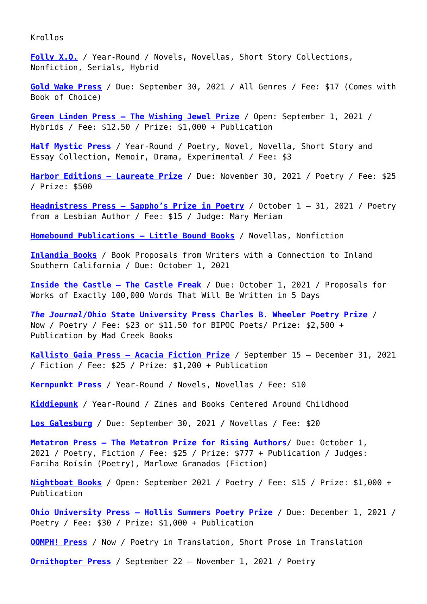Krollos

**[Folly X.O.](http://follyxo.com/)** / Year-Round / Novels, Novellas, Short Story Collections, Nonfiction, Serials, Hybrid

**[Gold Wake Press](https://goldwakepress.submittable.com/submit)** / Due: September 30, 2021 / All Genres / Fee: \$17 (Comes with Book of Choice)

**[Green Linden Press — The Wishing Jewel Prize](https://www.greenlindenpress.com/submit)** / Open: September 1, 2021 / Hybrids / Fee: \$12.50 / Prize: \$1,000 + Publication

**[Half Mystic Press](https://www.halfmystic.com/writers)** / Year-Round / Poetry, Novel, Novella, Short Story and Essay Collection, Memoir, Drama, Experimental / Fee: \$3

**[Harbor Editions — Laureate Prize](https://www.smallharborpublishing.com/harbor-editions)** / Due: November 30, 2021 / Poetry / Fee: \$25 / Prize: \$500

**[Headmistress Press — Sappho's Prize in Poetry](https://headmistresspress.submittable.com/submit)** / October 1 – 31, 2021 / Poetry from a Lesbian Author / Fee: \$15 / Judge: Mary Meriam

**[Homebound Publications — Little Bound Books](https://homeboundpublications.submittable.com/submit)** / Novellas, Nonfiction

**[Inlandia Books](https://inlandiaaliteraryjourney.submittable.com/submit)** / Book Proposals from Writers with a Connection to Inland Southern California / Due: October 1, 2021

**[Inside the Castle — The Castle Freak](http://www.insidethecastle.org/castle-freak/)** / Due: October 1, 2021 / Proposals for Works of Exactly 100,000 Words That Will Be Written in 5 Days

*[The Journal](http://thejournalmag.org/book-prizes/wheeler-prize)***[/Ohio State University Press Charles B. Wheeler Poetry Prize](http://thejournalmag.org/book-prizes/wheeler-prize)** / Now / Poetry / Fee: \$23 or \$11.50 for BIPOC Poets/ Prize: \$2,500 + Publication by Mad Creek Books

**[Kallisto Gaia Press — Acacia Fiction Prize](https://kallistogaiapress.submittable.com/submit)** / September 15 – December 31, 2021 / Fiction / Fee: \$25 / Prize: \$1,200 + Publication

**[Kernpunkt Press](http://www.kernpunktpress.com/submissions.html)** / Year-Round / Novels, Novellas / Fee: \$10

**[Kiddiepunk](http://www.kiddiepunk.com/contact.htm)** / Year-Round / Zines and Books Centered Around Childhood

**[Los Galesburg](https://www.losgalesburg.com)** / Due: September 30, 2021 / Novellas / Fee: \$20

**[Metatron Press — The Metatron Prize for Rising Authors](https://metatron.submittable.com/submit)**/ Due: October 1, 2021 / Poetry, Fiction / Fee: \$25 / Prize: \$777 + Publication / Judges: Fariha Roísín (Poetry), Marlowe Granados (Fiction)

**[Nightboat Books](https://nightboat.org/about/)** / Open: September 2021 / Poetry / Fee: \$15 / Prize: \$1,000 + Publication

**[Ohio University Press – Hollis Summers Poetry Prize](https://www.ohioswallow.com/poetry_prize)** / Due: December 1, 2021 / Poetry / Fee: \$30 / Prize: \$1,000 + Publication

**[OOMPH! Press](http://www.oomphpress.com/submit-2021)** / Now / Poetry in Translation, Short Prose in Translation

**[Ornithopter Press](https://www.ornithopterpress.com/submissions.html)** / September 22 – November 1, 2021 / Poetry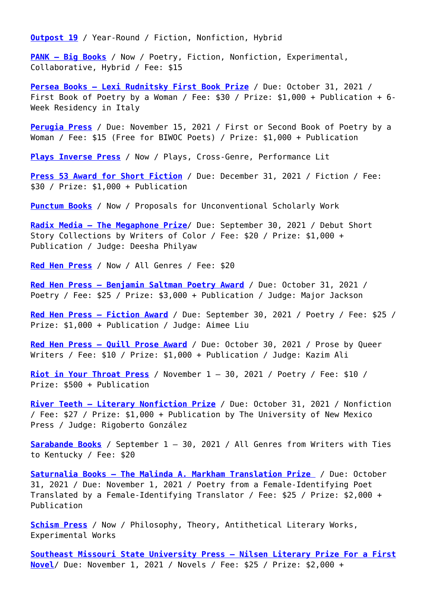**[Outpost 19](https://outpost19.submittable.com/submit)** / Year-Round / Fiction, Nonfiction, Hybrid

**[PANK — Big Books](https://pankmagazine.submittable.com/submit)** / Now / Poetry, Fiction, Nonfiction, Experimental, Collaborative, Hybrid / Fee: \$15

**[Persea Books – Lexi Rudnitsky First Book Prize](https://www.perseabooks.com/lexi-rudnitsky-prize-award)** / Due: October 31, 2021 / First Book of Poetry by a Woman / Fee: \$30 / Prize: \$1,000 + Publication + 6- Week Residency in Italy

**[Perugia Press](https://perugiapress.submittable.com/submit)** / Due: November 15, 2021 / First or Second Book of Poetry by a Woman / Fee: \$15 (Free for BIWOC Poets) / Prize: \$1,000 + Publication

**[Plays Inverse Press](http://www.playsinverse.com/contact.html)** / Now / Plays, Cross-Genre, Performance Lit

**[Press 53 Award for Short Fiction](https://www.press53.com/award-for-short-fiction)** / Due: December 31, 2021 / Fiction / Fee: \$30 / Prize: \$1,000 + Publication

**[Punctum Books](https://punctumbooks.com/contact/)** / Now / Proposals for Unconventional Scholarly Work

**[Radix Media — The Megaphone Prize](https://radixmedia.org/megaphone-prize/)**/ Due: September 30, 2021 / Debut Short Story Collections by Writers of Color / Fee: \$20 / Prize: \$1,000 + Publication / Judge: Deesha Philyaw

**[Red Hen Press](https://redhenpress.submittable.com/submit)** / Now / All Genres / Fee: \$20

**[Red Hen Press — Benjamin Saltman Poetry Award](https://redhenpress.submittable.com/submit)** / Due: October 31, 2021 / Poetry / Fee: \$25 / Prize: \$3,000 + Publication / Judge: Major Jackson

**[Red Hen Press — Fiction Award](https://redhenpress.submittable.com/submit)** / Due: September 30, 2021 / Poetry / Fee: \$25 / Prize: \$1,000 + Publication / Judge: Aimee Liu

**[Red Hen Press — Quill Prose Award](https://redhenpress.submittable.com/submit)** / Due: October 30, 2021 / Prose by Queer Writers / Fee: \$10 / Prize: \$1,000 + Publication / Judge: Kazim Ali

**[Riot in Your Throat Press](https://riotinyourthroat.com/contact-submissions/)** / November 1 – 30, 2021 / Poetry / Fee: \$10 / Prize: \$500 + Publication

**[River Teeth – Literary Nonfiction Prize](https://www.riverteethjournal.com/contests)** / Due: October 31, 2021 / Nonfiction / Fee: \$27 / Prize: \$1,000 + Publication by The University of New Mexico Press / Judge: Rigoberto González

**[Sarabande Books](https://entropymag.org/sarabandebooks.org/open-essay)** / September 1 – 30, 2021 / All Genres from Writers with Ties to Kentucky / Fee: \$20

**[Saturnalia Books — The Malinda A. Markham Translation Prize](https://saturnaliabooks.com/poetry-prize/)** / Due: October 31, 2021 / Due: November 1, 2021 / Poetry from a Female-Identifying Poet Translated by a Female-Identifying Translator / Fee: \$25 / Prize: \$2,000 + Publication

**[Schism Press](https://schismpress.tumblr.com/about)** / Now / Philosophy, Theory, Antithetical Literary Works, Experimental Works

**[Southeast Missouri State University Press – Nilsen Literary Prize For a First](http://www.semopress.com/events/nilsen-prize/) [Novel](http://www.semopress.com/events/nilsen-prize/)**/ Due: November 1, 2021 / Novels / Fee: \$25 / Prize: \$2,000 +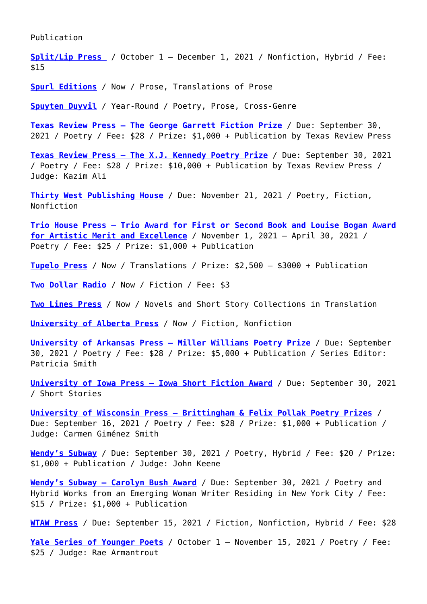Publication

**[Split/Lip Press](https://www.splitlippress.com/submissions)** / October 1 – December 1, 2021 / Nonfiction, Hybrid / Fee: \$15

**[Spurl Editions](https://spurleditions.com/about)** / Now / Prose, Translations of Prose

**[Spuyten Duyvil](http://www.spuytenduyvil.net/submissions.html)** / Year-Round / Poetry, Prose, Cross-Genre

**[Texas Review Press — The George Garrett Fiction Prize](http://texasreviewpress.org/submissions/george-garrett-fiction-prize)** / Due: September 30, 2021 / Poetry / Fee: \$28 / Prize: \$1,000 + Publication by Texas Review Press

**[Texas Review Press — The X.J. Kennedy Poetry Prize](http://texasreviewpress.org/submissions/x-j-kennedy-poetry-prize)** / Due: September 30, 2021 / Poetry / Fee: \$28 / Prize: \$10,000 + Publication by Texas Review Press / Judge: Kazim Ali

**[Thirty West Publishing House](https://thirtywest.submittable.com/submit)** / Due: November 21, 2021 / Poetry, Fiction, Nonfiction

**[Trio House Press — Trio Award for First or Second Book and Louise Bogan Award](https://www.triohousepress.org/submissions.html) [for Artistic Merit and Excellence](https://www.triohousepress.org/submissions.html)** / November 1, 2021 – April 30, 2021 / Poetry / Fee: \$25 / Prize: \$1,000 + Publication

**[Tupelo Press](https://tupelopress.submittable.com/submit)** / Now / Translations / Prize: \$2,500 – \$3000 + Publication

**[Two Dollar Radio](https://twodollarradio.submittable.com/submit)** / Now / Fiction / Fee: \$3

**[Two Lines Press](https://twolines.submittable.com/submit/)** / Now / Novels and Short Story Collections in Translation

**[University of Alberta Press](https://ualbertapress.submittable.com/submit)** / Now / Fiction, Nonfiction

**[University of Arkansas Press – Miller Williams Poetry Prize](https://uapress.com/millerwilliamspoetryseries)** / Due: September 30, 2021 / Poetry / Fee: \$28 / Prize: \$5,000 + Publication / Series Editor: Patricia Smith

**[University of Iowa Press — Iowa Short Fiction Award](https://www.uipress.uiowa.edu/authors/iowa-short-fiction.htm)** / Due: September 30, 2021 / Short Stories

**[University of Wisconsin Press – Brittingham & Felix Pollak Poetry Prizes](https://creativewriting.wisc.edu/submit.html)** / Due: September 16, 2021 / Poetry / Fee: \$28 / Prize: \$1,000 + Publication / Judge: Carmen Giménez Smith

**[Wendy's Subway](https://wendyssubway.submittable.com/submit)** / Due: September 30, 2021 / Poetry, Hybrid / Fee: \$20 / Prize: \$1,000 + Publication / Judge: John Keene

**[Wendy's Subway — Carolyn Bush Award](https://wendyssubway.submittable.com/submit)** / Due: September 30, 2021 / Poetry and Hybrid Works from an Emerging Woman Writer Residing in New York City / Fee: \$15 / Prize: \$1,000 + Publication

<span id="page-5-0"></span>**[WTAW Press](https://www.wtawpress.org/submissions)** / Due: September 15, 2021 / Fiction, Nonfiction, Hybrid / Fee: \$28

**[Yale Series of Younger Poets](http://youngerpoets.yupnet.org/submission-instructions/)** / October 1 – November 15, 2021 / Poetry / Fee: \$25 / Judge: Rae Armantrout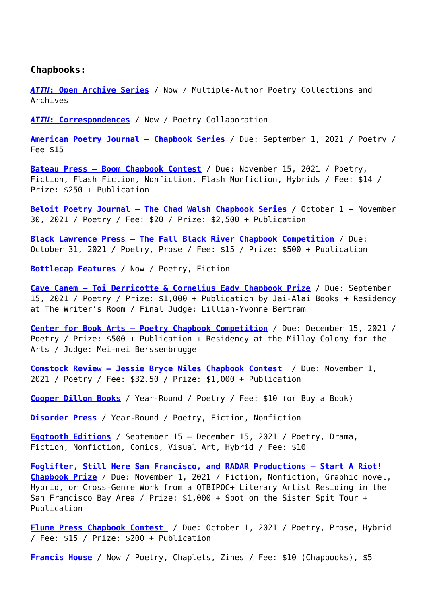## **Chapbooks:**

*[ATTN](https://furtherotherbookworks.com/index.php/attn/attn-open-archive/)***[: Open Archive Series](https://furtherotherbookworks.com/index.php/attn/attn-open-archive/)** / Now / Multiple-Author Poetry Collections and Archives

*[ATTN](https://furtherotherbookworks.com/index.php/attn/attn-open-archive/)***[: Correspondences](https://furtherotherbookworks.com/index.php/attn/attn-open-archive/)** / Now / Poetry Collaboration

**[American Poetry Journal — Chapbook Series](https://www.apjpoetry.org/submit)** / Due: September 1, 2021 / Poetry / Fee \$15

**[Bateau Press – Boom Chapbook Contest](https://bateaupress.org/index.php/submission-guidelines/bateau-chapbook-contests/)** / Due: November 15, 2021 / Poetry, Fiction, Flash Fiction, Nonfiction, Flash Nonfiction, Hybrids / Fee: \$14 / Prize: \$250 + Publication

**[Beloit Poetry Journal — The Chad Walsh Chapbook Series](https://www.bpj.org/submit/chad-walsh-chapbook-series-guidelines)** / October 1 – November 30, 2021 / Poetry / Fee: \$20 / Prize: \$2,500 + Publication

**[Black Lawrence Press — The Fall Black River Chapbook Competition](https://blacklawrencepress.submittable.com/submit)** / Due: October 31, 2021 / Poetry, Prose / Fee: \$15 / Prize: \$500 + Publication

**[Bottlecap Features](https://bottlecap.press/pages/bottlecap-press-submission-guidelines)** / Now / Poetry, Fiction

**[Cave Canem — Toi Derricotte & Cornelius Eady Chapbook Prize](https://cavecanempoets.org/prizes/toi-derricotte-cornelius-eady-chapbook-prize/)** / Due: September 15, 2021 / Poetry / Prize: \$1,000 + Publication by Jai-Alai Books + Residency at The Writer's Room / Final Judge: Lillian-Yvonne Bertram

**[Center for Book Arts – Poetry Chapbook Competition](https://centerforbookarts.org/annual-chapbook-competition)** / Due: December 15, 2021 / Poetry / Prize: \$500 + Publication + Residency at the Millay Colony for the Arts / Judge: Mei-mei Berssenbrugge

**[Comstock Review – Jessie Bryce Niles Chapbook Contest](https://comstockreview.submittable.com/submit)** / Due: November 1, 2021 / Poetry / Fee: \$32.50 / Prize: \$1,000 + Publication

**[Cooper Dillon Books](https://cooperdillon.submittable.com/submit)** / Year-Round / Poetry / Fee: \$10 (or Buy a Book)

**[Disorder Press](http://disorderpress.com/submissions/)** / Year-Round / Poetry, Fiction, Nonfiction

**[Eggtooth Editions](https://eggtootheditions.wordpress.com/home/contest-guidelines/)** / September 15 – December 15, 2021 / Poetry, Drama, Fiction, Nonfiction, Comics, Visual Art, Hybrid / Fee: \$10

**[Foglifter, Still Here San Francisco, and RADAR Productions — Start A Riot!](https://foglifterjournal.com/start-a-riot/) [Chapbook Prize](https://foglifterjournal.com/start-a-riot/)** / Due: November 1, 2021 / Fiction, Nonfiction, Graphic novel, Hybrid, or Cross-Genre Work from a QTBIPOC+ Literary Artist Residing in the San Francisco Bay Area / Prize: \$1,000 + Spot on the Sister Spit Tour + Publication

**[Flume Press Chapbook Contest](https://flumepress.com/submissions/)** / Due: October 1, 2021 / Poetry, Prose, Hybrid / Fee: \$15 / Prize: \$200 + Publication

**[Francis House](https://francishouse.submittable.com/submit)** / Now / Poetry, Chaplets, Zines / Fee: \$10 (Chapbooks), \$5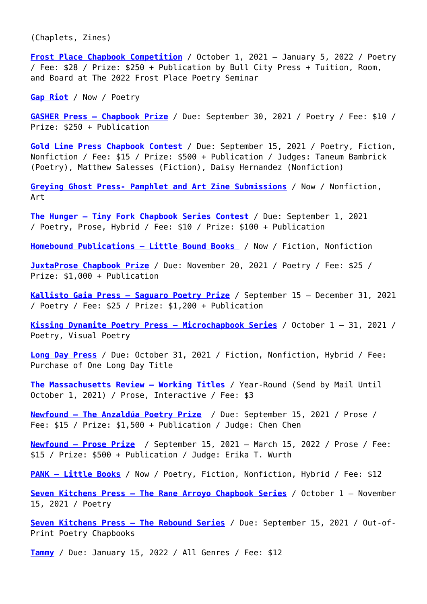(Chaplets, Zines)

**[Frost Place Chapbook Competition](https://bullcitypress.com/submissions-top/frost-place-chapbook-competition/)** / October 1, 2021 – January 5, 2022 / Poetry / Fee: \$28 / Prize: \$250 + Publication by Bull City Press + Tuition, Room, and Board at The 2022 Frost Place Poetry Seminar

**[Gap Riot](https://www.gapriotpress.com/submissionguidelines)** / Now / Poetry

**[GASHER Press — Chapbook Prize](https://www.gasherjournal.com/submission)** / Due: September 30, 2021 / Poetry / Fee: \$10 / Prize: \$250 + Publication

**[Gold Line Press](https://dornsife.usc.edu/goldlinepress/contest/) [Chapbook Contest](https://dornsife.usc.edu/goldlinepress/contest/)** / Due: September 15, 2021 / Poetry, Fiction, Nonfiction / Fee: \$15 / Prize: \$500 + Publication / Judges: Taneum Bambrick (Poetry), Matthew Salesses (Fiction), Daisy Hernandez (Nonfiction)

**[Greying Ghost Press- Pamphlet and Art Zine Submissions](http://www.greyingghost.com/submit)** / Now / Nonfiction, Art

**[The Hunger — Tiny Fork Chapbook Series Contest](https://www.thehungerjournal.com/tiny-fork-chapbooks)** / Due: September 1, 2021 / Poetry, Prose, Hybrid / Fee: \$10 / Prize: \$100 + Publication

**[Homebound Publications – Little Bound Books](https://homeboundpublications.submittable.com/submit)** / Now / Fiction, Nonfiction

**[JuxtaProse Chapbook Prize](https://juxtaprosemagazine.submittable.com/submit)** / Due: November 20, 2021 / Poetry / Fee: \$25 / Prize: \$1,000 + Publication

**[Kallisto Gaia Press — Saguaro Poetry Prize](https://kallistogaiapress.submittable.com/submit)** / September 15 – December 31, 2021 / Poetry / Fee: \$25 / Prize: \$1,200 + Publication

**[Kissing Dynamite Poetry Press — Microchapbook Series](http://www.kissingdynamitepoetry.com/press.html)** / October 1 – 31, 2021 / Poetry, Visual Poetry

**[Long Day Press](http://www.longdaypress.com/submissions/)** / Due: October 31, 2021 / Fiction, Nonfiction, Hybrid / Fee: Purchase of One Long Day Title

**[The Massachusetts Review — Working Titles](https://www.massreview.org/submission-guidelines/working-titles-guidelines)** / Year-Round (Send by Mail Until October 1, 2021) / Prose, Interactive / Fee: \$3

**[Newfound — The Anzaldúa Poetry Prize](https://newfound.org/poetry-prize/)** / Due: September 15, 2021 / Prose / Fee: \$15 / Prize: \$1,500 + Publication / Judge: Chen Chen

**[Newfound — Prose Prize](http://newfoundjournal.org/prose-prize/)** / September 15, 2021 – March 15, 2022 / Prose / Fee: \$15 / Prize: \$500 + Publication / Judge: Erika T. Wurth

**[PANK — Little Books](https://pankmagazine.submittable.com/submit)** / Now / Poetry, Fiction, Nonfiction, Hybrid / Fee: \$12

**[Seven Kitchens Press — The Rane Arroyo Chapbook Series](https://sevenkitchenspress.com/series-guidelines/guidelines-the-rane-arroyo-chapbook-series/)** / October 1 – November 15, 2021 / Poetry

**[Seven Kitchens Press — The Rebound Series](https://sevenkitchenspress.com/series-guidelines/guidelines-the-rebound-series/)** / Due: September 15, 2021 / Out-of-Print Poetry Chapbooks

**[Tammy](https://tammy.submittable.com/submit)** / Due: January 15, 2022 / All Genres / Fee: \$12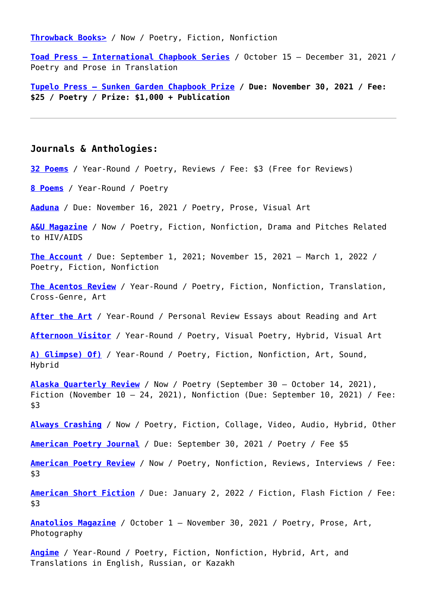**[Throwback Books>](https://throwbackbooks.submittable.com/submit)** / Now / Poetry, Fiction, Nonfiction

<span id="page-8-0"></span>**[Toad Press — International Chapbook Series](http://toadpress.blogspot.com/p/submission-information.html)** / October 15 – December 31, 2021 / Poetry and Prose in Translation

**[Tupelo Press – Sunken Garden Chapbook Prize](https://www.tupelopress.org//sunken-garden-poetry-prize/) / Due: November 30, 2021 / Fee: \$25 / Poetry / Prize: \$1,000 + Publication**

#### **Journals & Anthologies:**

**[32 Poems](https://32poems.submittable.com/submit)** / Year-Round / Poetry, Reviews / Fee: \$3 (Free for Reviews)

**[8 Poems](https://8poems.com/about)** / Year-Round / Poetry

**[Aaduna](https://www.aaduna.org/submission-process/)** / Due: November 16, 2021 / Poetry, Prose, Visual Art

**[A&U Magazine](https://aumag.org/submissions/)** / Now / Poetry, Fiction, Nonfiction, Drama and Pitches Related to HIV/AIDS

**[The Account](https://theaccountajournalofpoetryprosethought.submittable.com/submit)** / Due: September 1, 2021; November 15, 2021 – March 1, 2022 / Poetry, Fiction, Nonfiction

**[The Acentos Review](https://www.acentosreview.com/Submission_Guidelines.html)** / Year-Round / Poetry, Fiction, Nonfiction, Translation, Cross-Genre, Art

[After the Art](https://aftertheart.com/guidelines/) / Year-Round / Personal Review Essays about Reading and Art

**[Afternoon Visitor](https://www.afternoonvisitor.com/submit)** / Year-Round / Poetry, Visual Poetry, Hybrid, Visual Art

**[A\) Glimpse\) Of\)](https://aglimpseof.net/)** / Year-Round / Poetry, Fiction, Nonfiction, Art, Sound, Hybrid

**[Alaska Quarterly Review](https://aqreview.org/writers-guidelines/)** / Now / Poetry (September 30 – October 14, 2021), Fiction (November 10 – 24, 2021), Nonfiction (Due: September 10, 2021) / Fee: \$3

**[Always Crashing](https://www.alwayscrashing.com/submissions/)** / Now / Poetry, Fiction, Collage, Video, Audio, Hybrid, Other

**[American Poetry Journal](https://www.apjpoetry.org/submit)** / Due: September 30, 2021 / Poetry / Fee \$5

**[American Poetry Review](https://americanpoetryreview.submittable.com/submit)** / Now / Poetry, Nonfiction, Reviews, Interviews / Fee: \$3

**[American Short Fiction](http://americanshortfiction.org/submityourwork/)** / Due: January 2, 2022 / Fiction, Flash Fiction / Fee: \$3

**[Anatolios Magazine](https://anatoliosmagazine.wordpress.com/guidelines/)** / October 1 – November 30, 2021 / Poetry, Prose, Art, Photography

**[Angime](https://www.angime.com/submit)** / Year-Round / Poetry, Fiction, Nonfiction, Hybrid, Art, and Translations in English, Russian, or Kazakh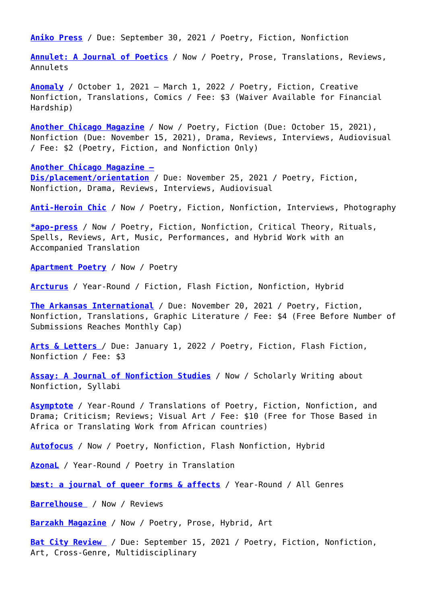**[Aniko Press](http://www.anikopress.com/submit)** / Due: September 30, 2021 / Poetry, Fiction, Nonfiction

**[Annulet: A Journal of Poetics](https://annuletpoeticsjournal.com/Submissions)** / Now / Poetry, Prose, Translations, Reviews, Annulets

**[Anomaly](https://anmly.submittable.com/submit)** / October 1, 2021 – March 1, 2022 / Poetry, Fiction, Creative Nonfiction, Translations, Comics / Fee: \$3 (Waiver Available for Financial Hardship)

**[Another Chicago Magazine](https://anotherchicagomagazine.net/submissions/)** / Now / Poetry, Fiction (Due: October 15, 2021), Nonfiction (Due: November 15, 2021), Drama, Reviews, Interviews, Audiovisual / Fee: \$2 (Poetry, Fiction, and Nonfiction Only)

**[Another Chicago Magazine —](https://anotherchicagomagazine.net/submissions/) [Dis/placement/orientation](https://anotherchicagomagazine.net/submissions/)** / Due: November 25, 2021 / Poetry, Fiction, Nonfiction, Drama, Reviews, Interviews, Audiovisual

**[Anti-Heroin Chic](http://heroinchic.weebly.com/about.html)** / Now / Poetry, Fiction, Nonfiction, Interviews, Photography

**[\\*apo-press](https://collectiveaporia.weebly.com/apo--press.html#/)** / Now / Poetry, Fiction, Nonfiction, Critical Theory, Rituals, Spells, Reviews, Art, Music, Performances, and Hybrid Work with an Accompanied Translation

**[Apartment Poetry](http://aptpoetry.com/issue7/about.html)** / Now / Poetry

**[Arcturus](https://arcturus.chireviewofbooks.com/submit-your-work-a2c3f8bdac8c)** / Year-Round / Fiction, Flash Fiction, Nonfiction, Hybrid

**[The Arkansas International](https://www.arkint.org/submissions/)** / Due: November 20, 2021 / Poetry, Fiction, Nonfiction, Translations, Graphic Literature / Fee: \$4 (Free Before Number of Submissions Reaches Monthly Cap)

**[Arts & Letters](https://artsandletters.gcsu.edu/submit/)** / Due: January 1, 2022 / Poetry, Fiction, Flash Fiction, Nonfiction / Fee: \$3

**[Assay: A Journal of Nonfiction Studies](https://www.assayjournal.com/submit.html)** / Now / Scholarly Writing about Nonfiction, Syllabi

**[Asymptote](https://www.asymptotejournal.com/submit/)** / Year-Round / Translations of Poetry, Fiction, Nonfiction, and Drama; Criticism; Reviews; Visual Art / Fee: \$10 (Free for Those Based in Africa or Translating Work from African countries)

**[Autofocus](https://www.autofocuslit.com/)** / Now / Poetry, Nonfiction, Flash Nonfiction, Hybrid

**[AzonaL](https://www.azonaltranslation.com/)** / Year-Round / Poetry in Translation

**[bæst: a journal of queer forms & affects](https://www.baestjournal.com/submit)** / Year-Round / All Genres

**[Barrelhouse](https://barrelhouse.submittable.com/submit)** / Now / Reviews

**[Barzakh Magazine](https://barzakhmagazine.submittable.com/submit)** / Now / Poetry, Prose, Hybrid, Art

**[Bat City Review](http://www.batcityreview.org/submit/)** / Due: September 15, 2021 / Poetry, Fiction, Nonfiction, Art, Cross-Genre, Multidisciplinary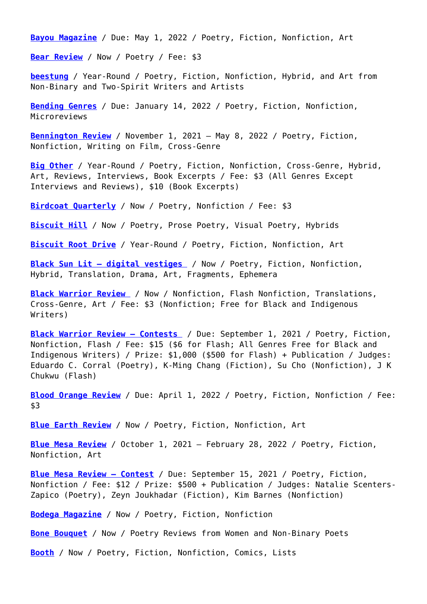**[Bayou Magazine](https://bayoumagazine.submittable.com/submit)** / Due: May 1, 2022 / Poetry, Fiction, Nonfiction, Art

**[Bear Review](https://bearreview.submittable.com/submit#_=_)** / Now / Poetry / Fee: \$3

**[beestung](http://www.beestungmag.com/about)** / Year-Round / Poetry, Fiction, Nonfiction, Hybrid, and Art from Non-Binary and Two-Spirit Writers and Artists

**[Bending Genres](https://bendinggenres.com/submissions/)** / Due: January 14, 2022 / Poetry, Fiction, Nonfiction, Microreviews

**[Bennington Review](http://www.benningtonreview.org/submit/)** / November 1, 2021 – May 8, 2022 / Poetry, Fiction, Nonfiction, Writing on Film, Cross-Genre

**[Big Other](https://bigother.com/submit/)** / Year-Round / Poetry, Fiction, Nonfiction, Cross-Genre, Hybrid, Art, Reviews, Interviews, Book Excerpts / Fee: \$3 (All Genres Except Interviews and Reviews), \$10 (Book Excerpts)

**[Birdcoat Quarterly](https://birdcoatquarterly.com/submit/)** / Now / Poetry, Nonfiction / Fee: \$3

**[Biscuit Hill](https://www.thebiscuithill.com/submissions)** / Now / Poetry, Prose Poetry, Visual Poetry, Hybrids

**[Biscuit Root Drive](https://biscuitrootdrive.com/about-submissions/)** / Year-Round / Poetry, Fiction, Nonfiction, Art

**[Black Sun Lit — digital vestiges](https://blacksunlit.submittable.com/submit)** / Now / Poetry, Fiction, Nonfiction, Hybrid, Translation, Drama, Art, Fragments, Ephemera

**[Black Warrior Review](https://bwr.ua.edu/submit/guidelines/)** / Now / Nonfiction, Flash Nonfiction, Translations, Cross-Genre, Art / Fee: \$3 (Nonfiction; Free for Black and Indigenous Writers)

**[Black Warrior Review — Contests](https://bwr.ua.edu/submit/guidelines/)** / Due: September 1, 2021 / Poetry, Fiction, Nonfiction, Flash / Fee: \$15 (\$6 for Flash; All Genres Free for Black and Indigenous Writers) / Prize: \$1,000 (\$500 for Flash) + Publication / Judges: Eduardo C. Corral (Poetry), K-Ming Chang (Fiction), Su Cho (Nonfiction), J K Chukwu (Flash)

**[Blood Orange Review](http://bloodorangereview.com/submit/)** / Due: April 1, 2022 / Poetry, Fiction, Nonfiction / Fee: \$3

**[Blue Earth Review](https://blueearthreview.submittable.com/submit)** / Now / Poetry, Fiction, Nonfiction, Art

**[Blue Mesa Review](https://bluemesareview.submittable.com/submit)** / October 1, 2021 – February 28, 2022 / Poetry, Fiction, Nonfiction, Art

**[Blue Mesa Review — Contest](https://bmr.unm.edu/contest/)** / Due: September 15, 2021 / Poetry, Fiction, Nonfiction / Fee: \$12 / Prize: \$500 + Publication / Judges: Natalie Scenters-Zapico (Poetry), Zeyn Joukhadar (Fiction), Kim Barnes (Nonfiction)

**[Bodega Magazine](https://bodegamagazine.submittable.com/submit)** / Now / Poetry, Fiction, Nonfiction

**[Bone Bouquet](http://www.bonebouquet.org/submission-guidelines/)** / Now / Poetry Reviews from Women and Non-Binary Poets

**[Booth](https://booth.submittable.com/submit)** / Now / Poetry, Fiction, Nonfiction, Comics, Lists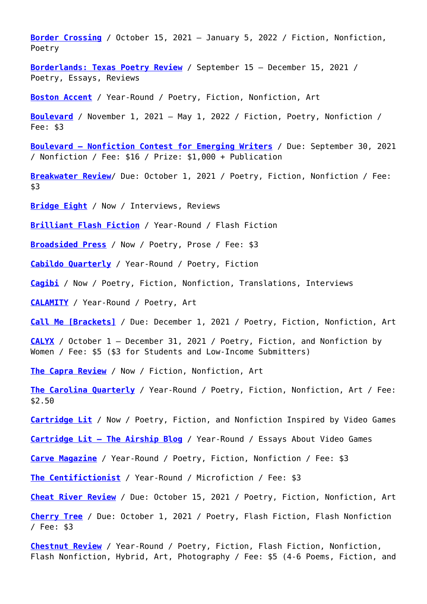**[Border Crossing](http://bcrossing.org/submission-guidelines/)** / October 15, 2021 – January 5, 2022 / Fiction, Nonfiction, Poetry

**[Borderlands: Texas Poetry Review](https://borderlands.submittable.com/submit)** / September 15 – December 15, 2021 / Poetry, Essays, Reviews

**[Boston Accent](http://www.bostonaccentlit.com/submit)** / Year-Round / Poetry, Fiction, Nonfiction, Art

**[Boulevard](https://boulevard.submittable.com/submit)** / November 1, 2021 – May 1, 2022 / Fiction, Poetry, Nonfiction / Fee: \$3

**[Boulevard — Nonfiction Contest for Emerging Writers](https://boulevard.submittable.com/submit)** / Due: September 30, 2021 / Nonfiction / Fee: \$16 / Prize: \$1,000 + Publication

**[Breakwater Review](https://breakwaterreview.submittable.com/submit)**/ Due: October 1, 2021 / Poetry, Fiction, Nonfiction / Fee: \$3

**[Bridge Eight](https://bridgeeight.submittable.com/submit)** / Now / Interviews, Reviews

**[Brilliant Flash Fiction](https://brilliantflashfiction.com/submissions/)** / Year-Round / Flash Fiction

**[Broadsided Press](https://broadsidedpress.org/submissions/)** / Now / Poetry, Prose / Fee: \$3

**[Cabildo Quarterly](https://cabildoquarterly.tumblr.com/senditin)** / Year-Round / Poetry, Fiction

**[Cagibi](https://cagibilit.com/submission-guidelines/)** / Now / Poetry, Fiction, Nonfiction, Translations, Interviews

**[CALAMITY](https://www.calamitymag.com/submit)** / Year-Round / Poetry, Art

**[Call Me \[Brackets\]](https://callmebrackets.net/)** / Due: December 1, 2021 / Poetry, Fiction, Nonfiction, Art

**[CALYX](http://calyxpress.org/submission.html)** / October 1 – December 31, 2021 / Poetry, Fiction, and Nonfiction by Women / Fee: \$5 (\$3 for Students and Low-Income Submitters)

**[The Capra Review](http://www.thecaprareview.com/?page_id=2071)** / Now / Fiction, Nonfiction, Art

**[The Carolina Quarterly](https://thecarolinaquarterly.submittable.com/submit)** / Year-Round / Poetry, Fiction, Nonfiction, Art / Fee: \$2.50

**[Cartridge Lit](https://cartridgelit.com/submissions/)** / Now / Poetry, Fiction, and Nonfiction Inspired by Video Games

**[Cartridge Lit – The Airship Blog](https://cartridgelit.com/submissions/)** / Year-Round / Essays About Video Games

**[Carve Magazine](https://www.carvezine.com/submit)** / Year-Round / Poetry, Fiction, Nonfiction / Fee: \$3

**[The Centifictionist](https://thecentifictionist.home.blog/about-submission-guidelines/)** / Year-Round / Microfiction / Fee: \$3

**[Cheat River Review](https://cheatriverreview.submittable.com/submit)** / Due: October 15, 2021 / Poetry, Fiction, Nonfiction, Art

**[Cherry Tree](https://cherrytree.submittable.com/submit)** / Due: October 1, 2021 / Poetry, Flash Fiction, Flash Nonfiction / Fee: \$3

**[Chestnut Review](https://chestnutreview.com/submissions/)** / Year-Round / Poetry, Fiction, Flash Fiction, Nonfiction, Flash Nonfiction, Hybrid, Art, Photography / Fee: \$5 (4-6 Poems, Fiction, and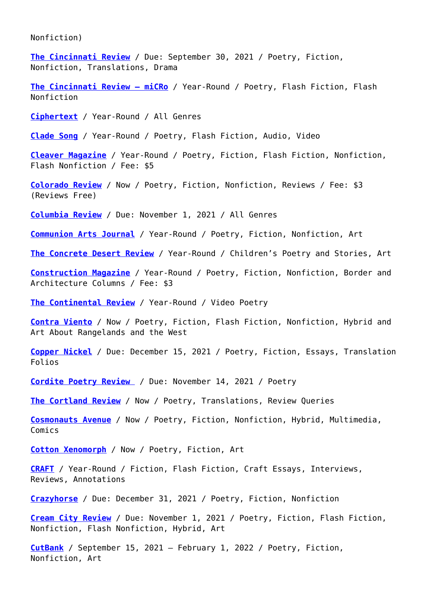Nonfiction)

**[The Cincinnati Review](https://www.cincinnatireview.com/submission_guidelines-2/)** / Due: September 30, 2021 / Poetry, Fiction, Nonfiction, Translations, Drama

**[The Cincinnati Review — miCRo](https://www.cincinnatireview.com/submission_guidelines-2/)** / Year-Round / Poetry, Flash Fiction, Flash Nonfiction

**[Ciphertext](https://ciphertextpub.wordpress.com/submissions/)** / Year-Round / All Genres

**[Clade Song](http://www.cladesong.com/submissions.html)** / Year-Round / Poetry, Flash Fiction, Audio, Video

**[Cleaver Magazine](https://cleavermagazine.submittable.com/submit)** / Year-Round / Poetry, Fiction, Flash Fiction, Nonfiction, Flash Nonfiction / Fee: \$5

**[Colorado Review](https://coloradoreview.submittable.com/Submit)** / Now / Poetry, Fiction, Nonfiction, Reviews / Fee: \$3 (Reviews Free)

**[Columbia Review](http://columbiareviewmag.com/submit/)** / Due: November 1, 2021 / All Genres

**[Communion Arts Journal](https://walleahpress.com.au/communion-guidelines.html)** / Year-Round / Poetry, Fiction, Nonfiction, Art

**[The Concrete Desert Review](https://www.theconcretedesertreview.com/submit)** / Year-Round / Children's Poetry and Stories, Art

**[Construction Magazine](http://constructionlitmag.com/submit/)** / Year-Round / Poetry, Fiction, Nonfiction, Border and Architecture Columns / Fee: \$3

**[The Continental Review](http://www.thecontinentalreview.com/submit/)** / Year-Round / Video Poetry

**[Contra Viento](https://contravientojournal.org/submit/)** / Now / Poetry, Fiction, Flash Fiction, Nonfiction, Hybrid and Art About Rangelands and the West

**[Copper Nickel](http://copper-nickel.org/submit/)** / Due: December 15, 2021 / Poetry, Fiction, Essays, Translation Folios

**[Cordite Poetry Review](https://cordite.submittable.com/submit)** / Due: November 14, 2021 / Poetry

**[The Cortland Review](https://www.cortlandreview.com/submissions.php#guidelines)** / Now / Poetry, Translations, Review Queries

**[Cosmonauts Avenue](https://cosmonautsavenue.submittable.com/submit)** / Now / Poetry, Fiction, Nonfiction, Hybrid, Multimedia, Comics

**[Cotton Xenomorph](https://www.cottonxenomorph.com/submissions)** / Now / Poetry, Fiction, Art

**[CRAFT](https://www.craftliterary.com/submit/)** / Year-Round / Fiction, Flash Fiction, Craft Essays, Interviews, Reviews, Annotations

**[Crazyhorse](https://crazyhorse.cofc.edu/submit/)** / Due: December 31, 2021 / Poetry, Fiction, Nonfiction

**[Cream City Review](https://uwm.edu/creamcityreview/submit-2/)** / Due: November 1, 2021 / Poetry, Fiction, Flash Fiction, Nonfiction, Flash Nonfiction, Hybrid, Art

**[CutBank](http://www.cutbankonline.org/print-edition)** / September 15, 2021 – February 1, 2022 / Poetry, Fiction, Nonfiction, Art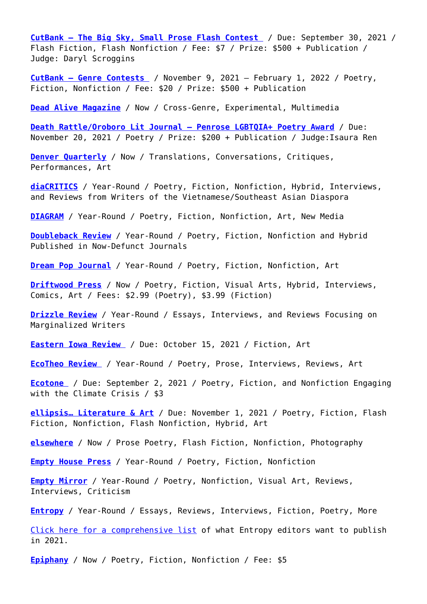**[CutBank — The Big Sky, Small Prose Flash Contest](http://www.cutbankonline.org/genre-contests)** / Due: September 30, 2021 / Flash Fiction, Flash Nonfiction / Fee: \$7 / Prize: \$500 + Publication / Judge: Daryl Scroggins

**[CutBank — Genre Contests](http://www.cutbankonline.org/genre-contests)** / November 9, 2021 – February 1, 2022 / Poetry, Fiction, Nonfiction / Fee: \$20 / Prize: \$500 + Publication

**[Dead Alive Magazine](http://deadalivemagazine.com/submit.html)** / Now / Cross-Genre, Experimental, Multimedia

**[Death Rattle/Oroboro Lit Journal – Penrose LGBTQIA+ Poetry Award](https://deathrattlewritersfest.org/home/oroboro)** / Due: November 20, 2021 / Poetry / Prize: \$200 + Publication / Judge:Isaura Ren

**[Denver Quarterly](http://www.du.edu/denverquarterly/submissions/)** / Now / Translations, Conversations, Critiques, Performances, Art

**[diaCRITICS](https://dvan.org/diacritics/submit/)** / Year-Round / Poetry, Fiction, Nonfiction, Hybrid, Interviews, and Reviews from Writers of the Vietnamese/Southeast Asian Diaspora

**[DIAGRAM](http://thediagram.com/subs.html)** / Year-Round / Poetry, Fiction, Nonfiction, Art, New Media

**[Doubleback Review](http://doublebackreview.com/guidelines/)** / Year-Round / Poetry, Fiction, Nonfiction and Hybrid Published in Now-Defunct Journals

**[Dream Pop Journal](http://www.dreampoppress.net/submit/)** / Year-Round / Poetry, Fiction, Nonfiction, Art

**[Driftwood Press](https://driftwoodpress.submittable.com/submit)** / Now / Poetry, Fiction, Visual Arts, Hybrid, Interviews, Comics, Art / Fees: \$2.99 (Poetry), \$3.99 (Fiction)

**[Drizzle Review](https://readdrizzle.blog/submit/)** / Year-Round / Essays, Interviews, and Reviews Focusing on Marginalized Writers

**[Eastern Iowa Review](http://www.portyonderpress.com/eastern-iowa-review.html)** / Due: October 15, 2021 / Fiction, Art

**[EcoTheo Review](https://www.ecotheo.org/submit)** / Year-Round / Poetry, Prose, Interviews, Reviews, Art

**[Ecotone](https://ecotonemagazine.org/submissions/)** / Due: September 2, 2021 / Poetry, Fiction, and Nonfiction Engaging with the Climate Crisis / \$3

**[ellipsis… Literature & Art](https://ellipsis.submittable.com/submit)** / Due: November 1, 2021 / Poetry, Fiction, Flash Fiction, Nonfiction, Flash Nonfiction, Hybrid, Art

**[elsewhere](https://elsewheremag.submittable.com/submit)** / Now / Prose Poetry, Flash Fiction, Nonfiction, Photography

**[Empty House Press](https://www.emptyhousepress.com/submit)** / Year-Round / Poetry, Fiction, Nonfiction

**[Empty Mirror](https://www.emptymirrorbooks.com/submissions)** / Year-Round / Poetry, Nonfiction, Visual Art, Reviews, Interviews, Criticism

**[Entropy](https://entropymag.org/submission-guidelines/)** / Year-Round / Essays, Reviews, Interviews, Fiction, Poetry, More

[Click here for a comprehensive list](https://entropymag.org/what-entropy-editors-want-to-publish-in-2020/) of what Entropy editors want to publish in 2021.

**[Epiphany](https://epiphanymagazine.submittable.com/submit)** / Now / Poetry, Fiction, Nonfiction / Fee: \$5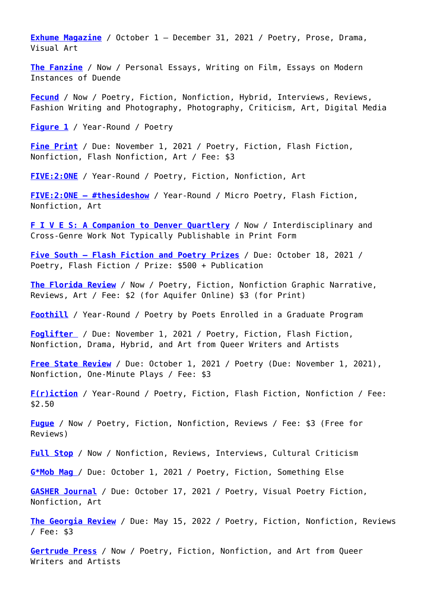**[Exhume Magazine](http://exhumemag.weebly.com/submit.html)** / October 1 – December 31, 2021 / Poetry, Prose, Drama, Visual Art

**[The Fanzine](http://thefanzine.com/contact/)** / Now / Personal Essays, Writing on Film, Essays on Modern Instances of Duende

**[Fecund](https://fecundmag.com/submit)** / Now / Poetry, Fiction, Nonfiction, Hybrid, Interviews, Reviews, Fashion Writing and Photography, Photography, Criticism, Art, Digital Media

**[Figure 1](https://thefigureone.com/about/)** / Year-Round / Poetry

**[Fine Print](https://www.fineprintpaper.com/submit)** / Due: November 1, 2021 / Poetry, Fiction, Flash Fiction, Nonfiction, Flash Nonfiction, Art / Fee: \$3

**[FIVE:2:ONE](http://five2onemagazine.com/submission-guidelines/)** / Year-Round / Poetry, Fiction, Nonfiction, Art

**[FIVE:2:ONE — #thesideshow](http://five2onemagazine.com/submission-guidelines/)** / Year-Round / Micro Poetry, Flash Fiction, Nonfiction, Art

**[F I V E S: A Companion to Denver Quartlery](https://fivesquarterly.com/about/)** / Now / Interdisciplinary and Cross-Genre Work Not Typically Publishable in Print Form

**[Five South — Flash Fiction and Poetry Prizes](https://www.fivesouth.net/submissions)** / Due: October 18, 2021 / Poetry, Flash Fiction / Prize: \$500 + Publication

**[The Florida Review](https://floridareview.submittable.com/Submit)** / Now / Poetry, Fiction, Nonfiction Graphic Narrative, Reviews, Art / Fee: \$2 (for Aquifer Online) \$3 (for Print)

**[Foothill](https://arts.cgu.edu/foothill-journal/submission-guidelines/)** / Year-Round / Poetry by Poets Enrolled in a Graduate Program

**[Foglifter](http://foglifterpress.com/)** / Due: November 1, 2021 / Poetry, Fiction, Flash Fiction, Nonfiction, Drama, Hybrid, and Art from Queer Writers and Artists

**[Free State Review](http://www.freestatereview.com/submit.html)** / Due: October 1, 2021 / Poetry (Due: November 1, 2021), Nonfiction, One-Minute Plays / Fee: \$3

**[F\(r\)iction](https://frictionlit.submittable.com/submit)** / Year-Round / Poetry, Fiction, Flash Fiction, Nonfiction / Fee: \$2.50

**[Fugue](http://www.fuguejournal.com/submit/)** / Now / Poetry, Fiction, Nonfiction, Reviews / Fee: \$3 (Free for Reviews)

**[Full Stop](http://www.full-stop.net/masthead/)** / Now / Nonfiction, Reviews, Interviews, Cultural Criticism

**[G\\*Mob Mag](https://www.g-mobmag.com/about.html)** [/](https://www.g-mobmag.com/about.html) Due: October 1, 2021 / Poetry, Fiction, Something Else

**[GASHER Journal](https://www.gasherjournal.com/submission)** / Due: October 17, 2021 / Poetry, Visual Poetry Fiction, Nonfiction, Art

**[The Georgia Review](https://thegeorgiareview.com/submit/)** / Due: May 15, 2022 / Poetry, Fiction, Nonfiction, Reviews / Fee: \$3

**[Gertrude Press](https://gertrudepress.submittable.com/submit)** / Now / Poetry, Fiction, Nonfiction, and Art from Queer Writers and Artists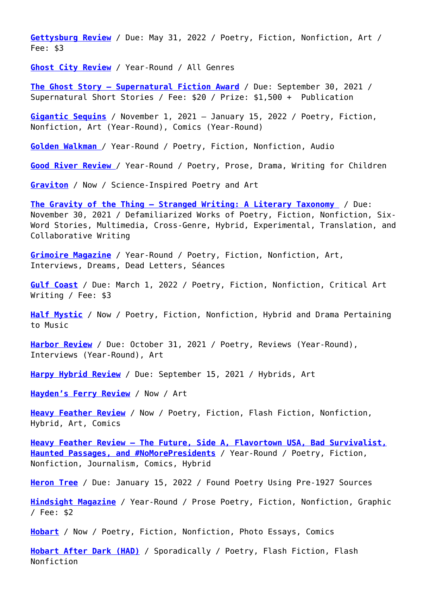**[Gettysburg Review](http://www.gettysburgreview.com/submissions/)** / Due: May 31, 2022 / Poetry, Fiction, Nonfiction, Art / Fee: \$3

**[Ghost City Review](https://ghostcitypress.com/submit)** / Year-Round / All Genres

**[The Ghost Story — Supernatural Fiction Award](http://www.theghoststory.com/tgs-fiction-award)** / Due: September 30, 2021 / Supernatural Short Stories / Fee: \$20 / Prize: \$1,500 + Publication

**[Gigantic Sequins](https://giganticsequins.submittable.com/submit)** / November 1, 2021 – January 15, 2022 / Poetry, Fiction, Nonfiction, Art (Year-Round), Comics (Year-Round)

**[Golden Walkman](https://www.goldwalkmag.com/general-submissions.html)** / Year-Round / Poetry, Fiction, Nonfiction, Audio

**[Good River Review](https://www.goodriverreview.com/submissions)** [/](https://www.goodriverreview.com/submissions) Year-Round / Poetry, Prose, Drama, Writing for Children

**[Graviton](https://www.gravitonlit.com/submit)** / Now / Science-Inspired Poetry and Art

**[The Gravity of the Thing — Stranged Writing: A Literary Taxonomy](http://thegravityofthething.com/submit/)** / Due: November 30, 2021 / Defamiliarized Works of Poetry, Fiction, Nonfiction, Six-Word Stories, Multimedia, Cross-Genre, Hybrid, Experimental, Translation, and Collaborative Writing

**[Grimoire Magazine](http://www.wearegrimoire.com/submit)** / Year-Round / Poetry, Fiction, Nonfiction, Art, Interviews, Dreams, Dead Letters, Séances

**[Gulf Coast](http://gulfcoastmag.org/submit/)** / Due: March 1, 2022 / Poetry, Fiction, Nonfiction, Critical Art Writing / Fee: \$3

**[Half Mystic](https://www.halfmystic.com/writers)** / Now / Poetry, Fiction, Nonfiction, Hybrid and Drama Pertaining to Music

**[Harbor Review](https://www.harbor-review.com/)** / Due: October 31, 2021 / Poetry, Reviews (Year-Round), Interviews (Year-Round), Art

**[Harpy Hybrid Review](http://www.harpyhybridreview.org/submissions/)** / Due: September 15, 2021 / Hybrids, Art

**[Hayden's Ferry Review](http://haydensferryreview.com/submit)** / Now / Art

**[Heavy Feather Review](https://heavyfeatherreview.org/submit/)** / Now / Poetry, Fiction, Flash Fiction, Nonfiction, Hybrid, Art, Comics

**[Heavy Feather Review – The Future, Side A, Flavortown USA, Bad Survivalist,](https://heavyfeatherreview.org/submit/) [Haunted Passages, and #NoMorePresidents](https://heavyfeatherreview.org/submit/)** / Year-Round / Poetry, Fiction, Nonfiction, Journalism, Comics, Hybrid

**[Heron Tree](https://herontree.com/how/)** / Due: January 15, 2022 / Found Poetry Using Pre-1927 Sources

**[Hindsight Magazine](https://www.hindsightmag.org/submissions)** / Year-Round / Prose Poetry, Fiction, Nonfiction, Graphic / Fee: \$2

**[Hobart](http://www.hobartpulp.com/submit/)** / Now / Poetry, Fiction, Nonfiction, Photo Essays, Comics

**[Hobart After Dark \(HAD\)](https://hobartpulp.submittable.com/submit)** / Sporadically / Poetry, Flash Fiction, Flash Nonfiction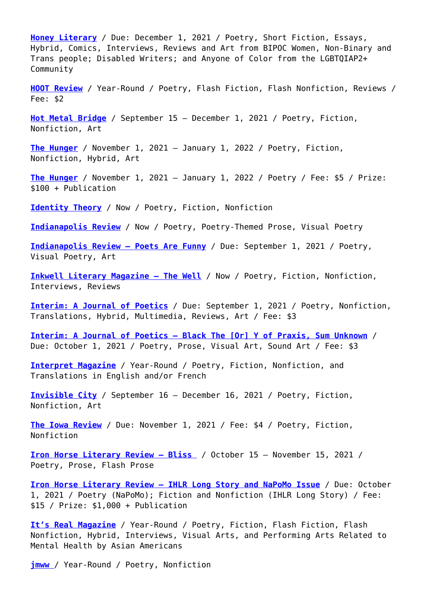**[Honey Literary](https://honeyliterary.com/submit/)** / Due: December 1, 2021 / Poetry, Short Fiction, Essays, Hybrid, Comics, Interviews, Reviews and Art from BIPOC Women, Non-Binary and Trans people; Disabled Writers; and Anyone of Color from the LGBTQIAP2+ Community

**[HOOT Review](http://www.hootreview.com/submissions/)** / Year-Round / Poetry, Flash Fiction, Flash Nonfiction, Reviews / Fee: \$2

**[Hot Metal Bridge](https://hotmetalbridge.submittable.com/submit)** / September 15 – December 1, 2021 / Poetry, Fiction, Nonfiction, Art

**[The Hunger](https://www.thehungerjournal.com/submit)** / November 1, 2021 – January 1, 2022 / Poetry, Fiction, Nonfiction, Hybrid, Art

**[The Hunger](https://www.thehungerjournal.com/winter-poetry-contest)** / November 1, 2021 – January 1, 2022 / Poetry / Fee: \$5 / Prize: \$100 + Publication

**[Identity Theory](https://identitytheory.submittable.com/submit)** / Now / Poetry, Fiction, Nonfiction

**[Indianapolis Review](https://theindianapolisreview.com/submit/)** / Now / Poetry, Poetry-Themed Prose, Visual Poetry

**[Indianapolis Review — Poets Are Funny](https://theindianapolisreview.com/submit/)** / Due: September 1, 2021 / Poetry, Visual Poetry, Art

**[Inkwell Literary Magazine — The Well](https://inkwellblc.com/submit/)** / Now / Poetry, Fiction, Nonfiction, Interviews, Reviews

**[Interim: A Journal of Poetics](https://interimmagazine.submittable.com/submit)** / Due: September 1, 2021 / Poetry, Nonfiction, Translations, Hybrid, Multimedia, Reviews, Art / Fee: \$3

**[Interim: A Journal of Poetics — Black The \[Or\] Y of Praxis, Sum Unknown](https://interimmagazine.submittable.com/submit)** / Due: October 1, 2021 / Poetry, Prose, Visual Art, Sound Art / Fee: \$3

**[Interpret Magazine](https://www.interpretmagazine.com/submit-contribuer)** / Year-Round / Poetry, Fiction, Nonfiction, and Translations in English and/or French

**[Invisible City](https://invisiblecity.submittable.com/submit)** / September 16 – December 16, 2021 / Poetry, Fiction, Nonfiction, Art

**[The Iowa Review](http://iowareview.org/content/writers-guidelines)** / Due: November 1, 2021 / Fee: \$4 / Poetry, Fiction, Nonfiction

**[Iron Horse Literary Review — Bliss](https://www.ironhorsereview.com/submit)** / October 15 – November 15, 2021 / Poetry, Prose, Flash Prose

**[Iron Horse Literary Review — IHLR Long Story and NaPoMo Issue](https://www.ironhorsereview.com/submit)** / Due: October 1, 2021 / Poetry (NaPoMo); Fiction and Nonfiction (IHLR Long Story) / Fee: \$15 / Prize: \$1,000 + Publication

**[It's Real Magazine](https://www.itsrealmagazine.org/submit.html)** / Year-Round / Poetry, Fiction, Flash Fiction, Flash Nonfiction, Hybrid, Interviews, Visual Arts, and Performing Arts Related to Mental Health by Asian Americans

**[jmww](https://jmww.submittable.com/Submit)** / Year-Round / Poetry, Nonfiction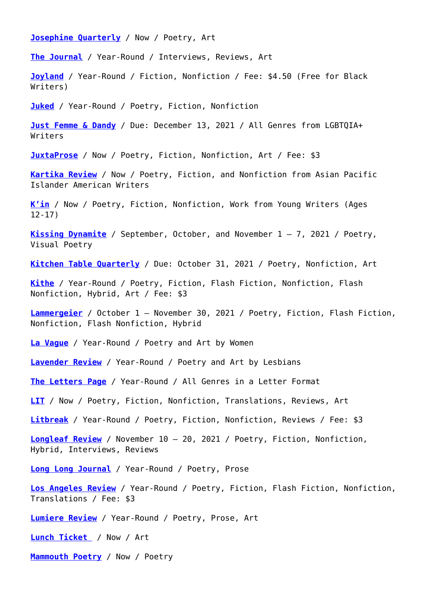**[Josephine Quarterly](https://www.josephinequarterly.com/submit)** / Now / Poetry, Art

**[The Journal](http://thejournalmag.org/submit)** / Year-Round / Interviews, Reviews, Art

**[Joyland](https://joylandmagazine.submittable.com/submit/)** / Year-Round / Fiction, Nonfiction / Fee: \$4.50 (Free for Black Writers)

**[Juked](http://www.juked.com/info/submit.asp)** / Year-Round / Poetry, Fiction, Nonfiction

**[Just Femme & Dandy](https://www.justfemmeanddandy.com/call-for-submissions)** / Due: December 13, 2021 / All Genres from LGBTQIA+ Writers

**[JuxtaProse](http://www.juxtaprosemagazine.org/submit/)** / Now / Poetry, Fiction, Nonfiction, Art / Fee: \$3

**[Kartika Review](https://kartikareview.submittable.com/submit)** / Now / Poetry, Fiction, and Nonfiction from Asian Pacific Islander American Writers

**[K'in](https://kinliteraryjournal.com/submit-1/)** / Now / Poetry, Fiction, Nonfiction, Work from Young Writers (Ages 12-17)

**[Kissing Dynamite](https://www.kissingdynamitepoetry.com/submissions.html/)** / September, October, and November 1 – 7, 2021 / Poetry, Visual Poetry

**[Kitchen Table Quarterly](https://www.kitchentablequarterly.org/)** / Due: October 31, 2021 / Poetry, Nonfiction, Art

**[Kithe](https://www.kithejournal.com/submissionguidelines)** / Year-Round / Poetry, Fiction, Flash Fiction, Nonfiction, Flash Nonfiction, Hybrid, Art / Fee: \$3

**[Lammergeier](https://www.lammergeier.org/submit)** / October 1 – November 30, 2021 / Poetry, Fiction, Flash Fiction, Nonfiction, Flash Nonfiction, Hybrid

**[La Vague](http://lavaguejournal.com/lavague09/about.php)** / Year-Round / Poetry and Art by Women

**[Lavender Review](https://www.lavrev.net/p/submit.html)** / Year-Round / Poetry and Art by Lesbians

**[The Letters Page](http://www.theletterspage.ac.uk/)** / Year-Round / All Genres in a Letter Format

**[LIT](https://litmagazine.submittable.com/submit)** / Now / Poetry, Fiction, Nonfiction, Translations, Reviews, Art

**[Litbreak](http://litbreak.com/)** / Year-Round / Poetry, Fiction, Nonfiction, Reviews / Fee: \$3

**[Longleaf Review](https://longleafreview.com/submissions/)** / November 10 – 20, 2021 / Poetry, Fiction, Nonfiction, Hybrid, Interviews, Reviews

**[Long Long Journal](https://longlongjournal.com/subs)** / Year-Round / Poetry, Prose

**[Los Angeles Review](https://losangelesreview.submittable.com/submit)** / Year-Round / Poetry, Fiction, Flash Fiction, Nonfiction, Translations / Fee: \$3

**[Lumiere Review](https://lumierereview.com/submit)** / Year-Round / Poetry, Prose, Art

**[Lunch Ticket](https://lunchticket.org/submission-guidelines/)** / Now / Art

**[Mammouth Poetry](https://bostonpoetryguild.wixsite.com/mammouthpoetry/submissions)** / Now / Poetry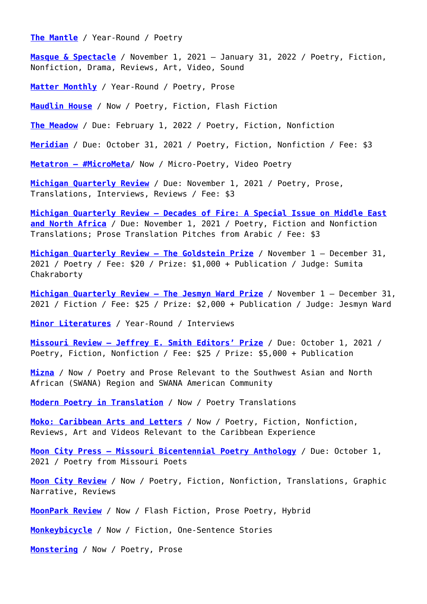**[The Mantle](https://themantlepoetry.com/submissions/)** / Year-Round / Poetry

**[Masque & Spectacle](https://masqueandspectacle.com/submission-guidelines/)** / November 1, 2021 – January 31, 2022 / Poetry, Fiction, Nonfiction, Drama, Reviews, Art, Video, Sound

**[Matter Monthly](https://mattermonthly.com/contact/)** / Year-Round / Poetry, Prose

**[Maudlin House](https://maudlinhouse.submittable.com/submit/)** / Now / Poetry, Fiction, Flash Fiction

**[The Meadow](https://themeadow.submittable.com/submit)** / Due: February 1, 2022 / Poetry, Fiction, Nonfiction

**[Meridian](https://meridian.submittable.com/submit)** / Due: October 31, 2021 / Poetry, Fiction, Nonfiction / Fee: \$3

**[Metatron – #MicroMeta](https://metatron.submittable.com/submit)**/ Now / Micro-Poetry, Video Poetry

**[Michigan Quarterly Review](https://sites.lsa.umich.edu/mqr/prizes/)** / Due: November 1, 2021 / Poetry, Prose, Translations, Interviews, Reviews / Fee: \$3

**[Michigan Quarterly Review — Decades of Fire: A Special Issue on Middle East](https://sites.lsa.umich.edu/mqr/prizes/) [and North Africa](https://sites.lsa.umich.edu/mqr/prizes/)** / Due: November 1, 2021 / Poetry, Fiction and Nonfiction Translations; Prose Translation Pitches from Arabic / Fee: \$3

**[Michigan Quarterly Review — The Goldstein Prize](https://sites.lsa.umich.edu/mqr/prizes/)** / November 1 – December 31, 2021 / Poetry / Fee: \$20 / Prize: \$1,000 + Publication / Judge: Sumita Chakraborty

**[Michigan Quarterly Review — The Jesmyn Ward Prize](https://sites.lsa.umich.edu/mqr/prizes/)** / November 1 – December 31, 2021 / Fiction / Fee: \$25 / Prize: \$2,000 + Publication / Judge: Jesmyn Ward

**[Minor Literatures](https://minorliteratures.submittable.com/submit)** / Year-Round / Interviews

**[Missouri Review — Jeffrey E. Smith Editors' Prize](https://www.missourireview.com/contests/jeffrey-e-smith-editors-prize/)** / Due: October 1, 2021 / Poetry, Fiction, Nonfiction / Fee: \$25 / Prize: \$5,000 + Publication

**[Mizna](https://mizna.org/journal/submissions/)** / Now / Poetry and Prose Relevant to the Southwest Asian and North African (SWANA) Region and SWANA American Community

**[Modern Poetry in Translation](http://modernpoetryintranslation.com/submit/)** / Now / Poetry Translations

**[Moko: Caribbean Arts and Letters](https://mokomagazine.submittable.com/submit)** / Now / Poetry, Fiction, Nonfiction, Reviews, Art and Videos Relevant to the Caribbean Experience

**[Moon City Press — Missouri Bicentennial Poetry Anthology](https://mooncitypress.submittable.com/submit)** / Due: October 1, 2021 / Poetry from Missouri Poets

**[Moon City Review](https://mooncitypress.submittable.com/submit)** / Now / Poetry, Fiction, Nonfiction, Translations, Graphic Narrative, Reviews

**[MoonPark Review](https://moonparkreview.com/submission-guidelines/)** / Now / Flash Fiction, Prose Poetry, Hybrid

**[Monkeybicycle](https://monkeybicycle.submittable.com/submit)** / Now / Fiction, One-Sentence Stories

**[Monstering](https://monsteringmag.com/100021ef73824f5595072d2cae8184c4)** / Now / Poetry, Prose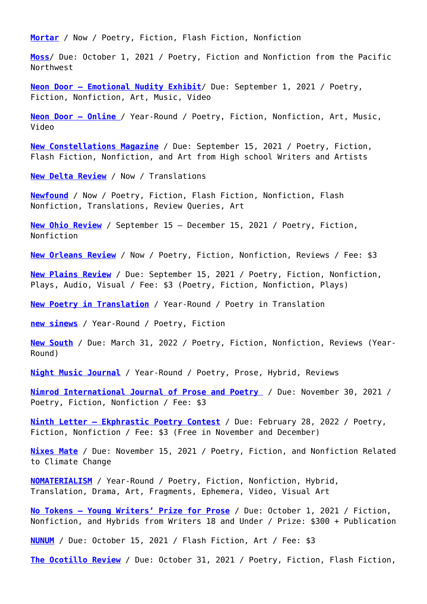**[Mortar](https://mortarmagazine.submittable.com/submit)** / Now / Poetry, Fiction, Flash Fiction, Nonfiction

**[Moss](https://mosslit.com/Submissions)**/ Due: October 1, 2021 / Poetry, Fiction and Nonfiction from the Pacific Northwest

**[Neon Door — Emotional Nudity Exhibit](http://www.neondoorlit.com/)**/ Due: September 1, 2021 / Poetry, Fiction, Nonfiction, Art, Music, Video

**[Neon Door — Online](http://www.neondoorlit.com/)** / Year-Round / Poetry, Fiction, Nonfiction, Art, Music, Video

**[New Constellations Magazine](https://newconstellationsmag.weebly.com/submit.html)** / Due: September 15, 2021 / Poetry, Fiction, Flash Fiction, Nonfiction, and Art from High school Writers and Artists

**[New Delta Review](https://newdeltareview.submittable.com/submit)** / Now / Translations

**[Newfound](https://newfound.submittable.com/submit)** / Now / Poetry, Fiction, Flash Fiction, Nonfiction, Flash Nonfiction, Translations, Review Queries, Art

**[New Ohio Review](https://www.ohio.edu/nor/submit.htm)** / September 15 – December 15, 2021 / Poetry, Fiction, Nonfiction

**[New Orleans Review](https://neworleansreview.submittable.com/Submit)** / Now / Poetry, Fiction, Nonfiction, Reviews / Fee: \$3

**[New Plains Review](https://newplainsreview.submittable.com/submit)** / Due: September 15, 2021 / Poetry, Fiction, Nonfiction, Plays, Audio, Visual / Fee: \$3 (Poetry, Fiction, Nonfiction, Plays)

**[New Poetry in Translation](http://newpoetryintranslation.com/submissions.html)** / Year-Round / Poetry in Translation

**[new sinews](https://newnewsinews.com/about)** / Year-Round / Poetry, Fiction

**[New South](https://newsouth.submittable.com/submit)** / Due: March 31, 2022 / Poetry, Fiction, Nonfiction, Reviews (Year-Round)

**[Night Music Journal](https://nightmusicjournal.com/submissions/)** / Year-Round / Poetry, Prose, Hybrid, Reviews

**[Nimrod International Journal of Prose and Poetry](https://artsandsciences.utulsa.edu/nimrod/submissions/)** / Due: November 30, 2021 / Poetry, Fiction, Nonfiction / Fee: \$3

**[Ninth Letter — Ekphrastic Poetry Contest](http://www.ninthletter.com/journal/submit)** / Due: February 28, 2022 / Poetry, Fiction, Nonfiction / Fee: \$3 (Free in November and December)

**[Nixes Mate](https://nixesmate.pub/submit/)** / Due: November 15, 2021 / Poetry, Fiction, and Nonfiction Related to Climate Change

**[NOMATERIALISM](https://www.nomaterialism.com/submit)** / Year-Round / Poetry, Fiction, Nonfiction, Hybrid, Translation, Drama, Art, Fragments, Ephemera, Video, Visual Art

**[No Tokens — Young Writers' Prize for Prose](https://notokensjournal.com/submissions/)** / Due: October 1, 2021 / Fiction, Nonfiction, and Hybrids from Writers 18 and Under / Prize: \$300 + Publication

**[NUNUM](https://nunum.submittable.com/submit)** / Due: October 15, 2021 / Flash Fiction, Art / Fee: \$3

**[The Ocotillo Review](https://kallistogaiapress.submittable.com/submit)** / Due: October 31, 2021 / Poetry, Fiction, Flash Fiction,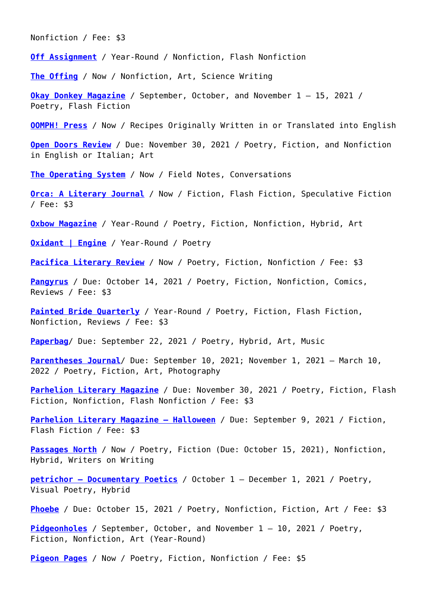Nonfiction / Fee: \$3

**[Off Assignment](http://www.offassignment.com/write-for-us)** / Year-Round / Nonfiction, Flash Nonfiction

**[The Offing](https://theoffingmag.submittable.com/submit)** / Now / Nonfiction, Art, Science Writing

**[Okay Donkey Magazine](https://okaydonkeymag.com/)** / September, October, and November 1 – 15, 2021 / Poetry, Flash Fiction

**[OOMPH! Press](http://www.oomphpress.com/submit)** / Now / Recipes Originally Written in or Translated into English

**[Open Doors Review](https://www.opendoorsreview.com/index.php/submit/)** / Due: November 30, 2021 / Poetry, Fiction, and Nonfiction in English or Italian; Art

**[The Operating System](http://www.theoperatingsystem.org/submissions/)** / Now / Field Notes, Conversations

**[Orca: A Literary Journal](https://orcaaliteraryjournal.submittable.com/)** / Now / Fiction, Flash Fiction, Speculative Fiction / Fee: \$3

**[Oxbow Magazine](https://oxbowmagazine.com/submit/)** / Year-Round / Poetry, Fiction, Nonfiction, Hybrid, Art

**[Oxidant | Engine](http://www.oxidantengine.com/submissions)** / Year-Round / Poetry

**[Pacifica Literary Review](https://pacificaliteraryreview.submittable.com/submit)** / Now / Poetry, Fiction, Nonfiction / Fee: \$3

[Pangyrus](https://www.pangyrus.com/about-us/submissions/) / Due: October 14, 2021 / Poetry, Fiction, Nonfiction, Comics, Reviews / Fee: \$3

**[Painted Bride Quarterly](https://pbq.submittable.com/submit)** / Year-Round / Poetry, Fiction, Flash Fiction, Nonfiction, Reviews / Fee: \$3

**[Paperbag](https://paperbag.submittable.com/submit)**/ Due: September 22, 2021 / Poetry, Hybrid, Art, Music

**[Parentheses Journal](http://www.parenthesesjournal.com/submit/)**/ Due: September 10, 2021; November 1, 2021 – March 10, 2022 / Poetry, Fiction, Art, Photography

**[Parhelion Literary Magazine](https://parhelionliterary.com/submission-guidelines/)** / Due: November 30, 2021 / Poetry, Fiction, Flash Fiction, Nonfiction, Flash Nonfiction / Fee: \$3

**[Parhelion Literary Magazine — Halloween](https://parhelionliterary.com/submission-guidelines/)** / Due: September 9, 2021 / Fiction, Flash Fiction / Fee: \$3

[Passages North](https://www.passagesnorth.com/submit) / Now / Poetry, Fiction (Due: October 15, 2021), Nonfiction, Hybrid, Writers on Writing

**[petrichor — Documentary Poetics](http://petrichormag.com/submit/)** / October 1 – December 1, 2021 / Poetry, Visual Poetry, Hybrid

**[Phoebe](https://phoebe.submittable.com/submit)** / Due: October 15, 2021 / Poetry, Nonfiction, Fiction, Art / Fee: \$3

**[Pidgeonholes](http://pidgeonholes.com/submit/)** / September, October, and November 1 – 10, 2021 / Poetry, Fiction, Nonfiction, Art (Year-Round)

**[Pigeon Pages](https://pigeonpagesnyc.submittable.com/submit)** / Now / Poetry, Fiction, Nonfiction / Fee: \$5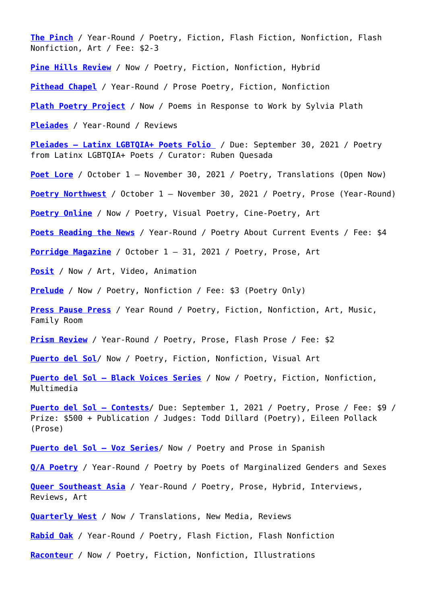**[The Pinch](https://pinchjournal.submittable.com/submit)** / Year-Round / Poetry, Fiction, Flash Fiction, Nonfiction, Flash Nonfiction, Art / Fee: \$2-3

**[Pine Hills Review](http://pinehillsreview.com/submit/)** / Now / Poetry, Fiction, Nonfiction, Hybrid

**[Pithead Chapel](https://pitheadchapel.com/submission-guidelines/)** / Year-Round / Prose Poetry, Fiction, Nonfiction

**[Plath Poetry Project](https://plathpoetryproject.com/submit/)** / Now / Poems in Response to Work by Sylvia Plath

**[Pleiades](https://pleiadesmag.com/submit/)** / Year-Round / Reviews

**[Pleiades — Latinx LGBTQIA+ Poets Folio](https://pleiadesmag.com/submit/)** / Due: September 30, 2021 / Poetry from Latinx LGBTQIA+ Poets / Curator: Ruben Quesada

**[Poet Lore](https://www.poetlore.com/submit/)** / October 1 – November 30, 2021 / Poetry, Translations (Open Now)

**[Poetry Northwest](http://www.poetrynw.org/about/submissions-info/)** / October 1 – November 30, 2021 / Poetry, Prose (Year-Round)

**[Poetry Online](https://www.poetry.onl/submit)** / Now / Poetry, Visual Poetry, Cine-Poetry, Art

**[Poets Reading the News](http://www.poetsreadingthenews.com/submissions/)** / Year-Round / Poetry About Current Events / Fee: \$4

**[Porridge Magazine](https://porridgemagazine.com/about/submissions/)** / October 1 – 31, 2021 / Poetry, Prose, Art

**[Posit](https://posit.submittable.com/submit)** / Now / Art, Video, Animation

**[Prelude](https://prelude.submittable.com/submit)** / Now / Poetry, Nonfiction / Fee: \$3 (Poetry Only)

**[Press Pause Press](https://presspausepress.submittable.com/submit)** / Year Round / Poetry, Fiction, Nonfiction, Art, Music, Family Room

**[Prism Review](https://prismreview.submittable.com/submit)** / Year-Round / Poetry, Prose, Flash Prose / Fee: \$2

**[Puerto del Sol](https://puertodelsol.submittable.com/submit)**/ Now / Poetry, Fiction, Nonfiction, Visual Art

**[Puerto del Sol – Black Voices Series](https://puertodelsol.submittable.com/submit)** / Now / Poetry, Fiction, Nonfiction, Multimedia

**[Puerto del Sol — Contests](https://puertodelsol.submittable.com/submit)**/ Due: September 1, 2021 / Poetry, Prose / Fee: \$9 / Prize: \$500 + Publication / Judges: Todd Dillard (Poetry), Eileen Pollack (Prose)

**[Puerto del Sol — Voz Series](https://puertodelsol.submittable.com/submit)**/ Now / Poetry and Prose in Spanish

**[Q/A Poetry](https://www.qapoetry.com/submit)** / Year-Round / Poetry by Poets of Marginalized Genders and Sexes

**[Queer Southeast Asia](http://queersoutheastasia.com/submission-guidelines)** / Year-Round / Poetry, Prose, Hybrid, Interviews, Reviews, Art

**[Quarterly West](https://www.quarterlywest.com/submit)** / Now / Translations, New Media, Reviews

**[Rabid Oak](https://rabidoak.com/submissions/)** / Year-Round / Poetry, Flash Fiction, Flash Nonfiction

**[Raconteur](http://raconteurmag.com/written-submission-guidelines/)** / Now / Poetry, Fiction, Nonfiction, Illustrations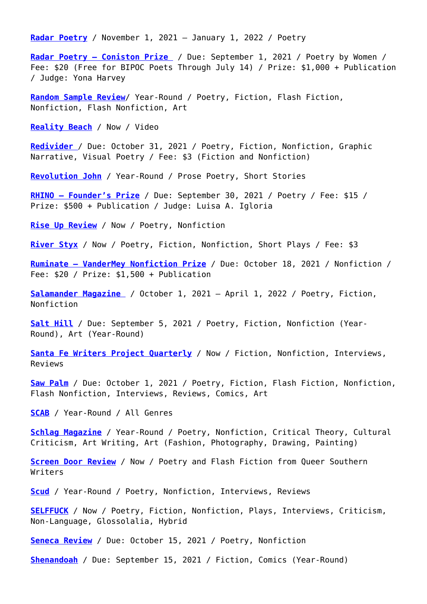**[Radar Poetry](https://www.radarpoetry.com/guidelines)** / November 1, 2021 – January 1, 2022 / Poetry

**[Radar Poetry — Coniston Prize](https://www.radarpoetry.com/contest)** / Due: September 1, 2021 / Poetry by Women / Fee: \$20 (Free for BIPOC Poets Through July 14) / Prize: \$1,000 + Publication / Judge: Yona Harvey

**[Random Sample Review](https://randomsamplereview.com/submit/)**/ Year-Round / Poetry, Fiction, Flash Fiction, Nonfiction, Flash Nonfiction, Art

**[Reality Beach](http://realitybeach.org/submit/)** / Now / Video

**[Redivider](https://redivider.submittable.com/submit)** [/](https://redivider.submittable.com/submit) Due: October 31, 2021 / Poetry, Fiction, Nonfiction, Graphic Narrative, Visual Poetry / Fee: \$3 (Fiction and Nonfiction)

**[Revolution John](https://oleada.io/publication/revolution-john)** / Year-Round / Prose Poetry, Short Stories

**[RHINO — Founder's Prize](https://rhinopoetry.org/prizes)** / Due: September 30, 2021 / Poetry / Fee: \$15 / Prize: \$500 + Publication / Judge: Luisa A. Igloria

**[Rise Up Review](https://riseupreview.submittable.com/submit)** / Now / Poetry, Nonfiction

**[River Styx](http://www.riverstyx.org/submit/general-submissions/)** / Now / Poetry, Fiction, Nonfiction, Short Plays / Fee: \$3

**[Ruminate — VanderMey Nonfiction Prize](https://ruminatemagazine.submittable.com/submit)** / Due: October 18, 2021 / Nonfiction / Fee: \$20 / Prize: \$1,500 + Publication

**[Salamander Magazine](https://salamandermag.org/how-to-submit/)** / October 1, 2021 – April 1, 2022 / Poetry, Fiction, Nonfiction

**[Salt Hill](https://salthilljournal.net/submit)** / Due: September 5, 2021 / Poetry, Fiction, Nonfiction (Year-Round), Art (Year-Round)

**[Santa Fe Writers Project Quarterly](https://santafewritersproject.submittable.com/submit)** / Now / Fiction, Nonfiction, Interviews, Reviews

**[Saw Palm](http://www.sawpalm.org/submit.html)** / Due: October 1, 2021 / Poetry, Fiction, Flash Fiction, Nonfiction, Flash Nonfiction, Interviews, Reviews, Comics, Art

**[SCAB](https://scabmag.wordpress.com/submissions/)** / Year-Round / All Genres

**[Schlag Magazine](https://www.schlagmagazine.com/submit)** / Year-Round / Poetry, Nonfiction, Critical Theory, Cultural Criticism, Art Writing, Art (Fashion, Photography, Drawing, Painting)

**[Screen Door Review](https://screendoorreview.submittable.com/submit)** / Now / Poetry and Flash Fiction from Queer Southern Writers

**[Scud](https://scudlit.blogspot.com/p/contact.html)** / Year-Round / Poetry, Nonfiction, Interviews, Reviews

**[SELFFUCK](https://selffuck.help/submit/)** / Now / Poetry, Fiction, Nonfiction, Plays, Interviews, Criticism, Non-Language, Glossolalia, Hybrid

**[Seneca Review](http://www.hws.edu/senecareview/submissions.aspx)** / Due: October 15, 2021 / Poetry, Nonfiction

**[Shenandoah](https://shenandoahliterary.org/submissions/)** / Due: September 15, 2021 / Fiction, Comics (Year-Round)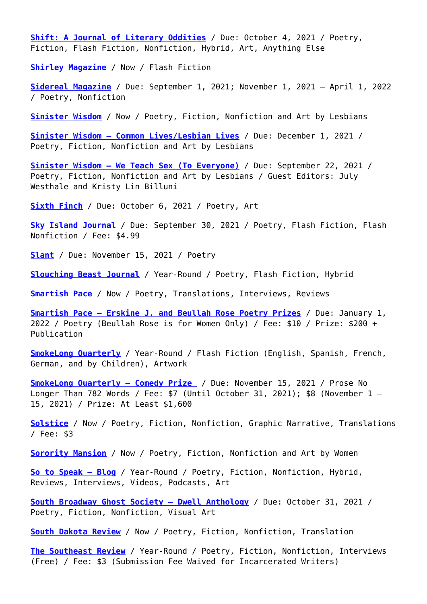**[Shift: A Journal of Literary Oddities](http://ringlingshiftjournal.com/submit/)** / Due: October 4, 2021 / Poetry, Fiction, Flash Fiction, Nonfiction, Hybrid, Art, Anything Else

**[Shirley Magazine](http://www.shirleymag.com/about/)** / Now / Flash Fiction

**[Sidereal Magazine](https://siderealmagazine.com/submissions/)** / Due: September 1, 2021; November 1, 2021 – April 1, 2022 / Poetry, Nonfiction

**[Sinister Wisdom](https://sinisterwisdom.submittable.com/submit)** / Now / Poetry, Fiction, Nonfiction and Art by Lesbians

**[Sinister Wisdom — Common Lives/Lesbian Lives](https://sinisterwisdom.submittable.com/submit)** / Due: December 1, 2021 / Poetry, Fiction, Nonfiction and Art by Lesbians

**[Sinister Wisdom — We Teach Sex \(To Everyone\)](https://sinisterwisdom.submittable.com/submit)** / Due: September 22, 2021 / Poetry, Fiction, Nonfiction and Art by Lesbians / Guest Editors: July Westhale and Kristy Lin Billuni

**[Sixth Finch](http://sixthfinch.com/submit.html)** / Due: October 6, 2021 / Poetry, Art

**[Sky Island Journal](https://www.skyislandjournal.com/submissions)** / Due: September 30, 2021 / Poetry, Flash Fiction, Flash Nonfiction / Fee: \$4.99

**[Slant](http://uca.edu/english/slant-a-journal-of-poetry/submission-guidelines/)** / Due: November 15, 2021 / Poetry

**[Slouching Beast Journal](https://slouchingbeastjournal.com/submit/)** / Year-Round / Poetry, Flash Fiction, Hybrid

**[Smartish Pace](https://smartishpace.submittable.com/submit)** / Now / Poetry, Translations, Interviews, Reviews

**[Smartish Pace — Erskine J. and Beullah Rose Poetry Prizes](https://smartishpace.submittable.com/submit)** / Due: January 1, 2022 / Poetry (Beullah Rose is for Women Only) / Fee: \$10 / Prize: \$200 + Publication

**[SmokeLong Quarterly](http://www.smokelong.com/submissions/guidelines/)** / Year-Round / Flash Fiction (English, Spanish, French, German, and by Children), Artwork

**[SmokeLong Quarterly — Comedy Prize](https://www.smokelong.com/comedy-prize-2021-opens-aug-1/)** / Due: November 15, 2021 / Prose No Longer Than 782 Words / Fee: \$7 (Until October 31, 2021); \$8 (November 1 – 15, 2021) / Prize: At Least \$1,600

**[Solstice](https://solsticelitmag.org/submit/)** / Now / Poetry, Fiction, Nonfiction, Graphic Narrative, Translations / Fee: \$3

**[Sorority Mansion](https://www.sororitymansion.org/submissions)** / Now / Poetry, Fiction, Nonfiction and Art by Women

**[So to Speak — Blog](https://sotospeak.submittable.com/Submit)** / Year-Round / Poetry, Fiction, Nonfiction, Hybrid, Reviews, Interviews, Videos, Podcasts, Art

**[South Broadway Ghost Society — Dwell Anthology](https://soboghoso.org/submit-poetry-anthology-in-partnership-with-the-village-institute/?fbclid=IwAR0tjp2qljzf1UZ5H9sLcdg17LooBkgNfhU9B3m-VhPbdFd3o-ZrQ2XnqO0)** / Due: October 31, 2021 / Poetry, Fiction, Nonfiction, Visual Art

**[South Dakota Review](https://southdakotareview.submittable.com/submit)** / Now / Poetry, Fiction, Nonfiction, Translation

**[The Southeast Review](https://www.southeastreview.org/general-submissions/)** / Year-Round / Poetry, Fiction, Nonfiction, Interviews (Free) / Fee: \$3 (Submission Fee Waived for Incarcerated Writers)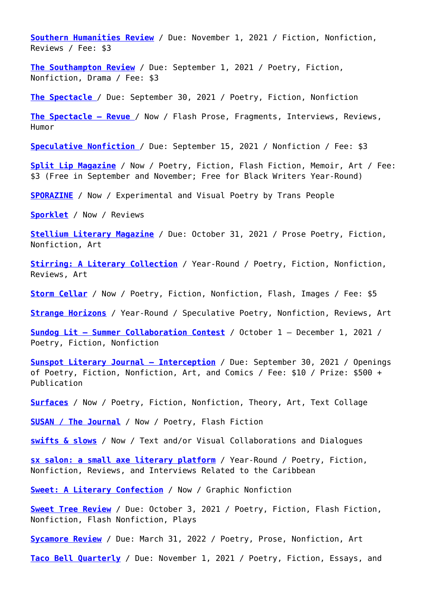**[Southern Humanities Review](http://www.southernhumanitiesreview.com/submit.html​)** / Due: November 1, 2021 / Fiction, Nonfiction, Reviews / Fee: \$3

**[The Southampton Review](https://www.thesouthamptonreview.com/submit/)** / Due: September 1, 2021 / Poetry, Fiction, Nonfiction, Drama / Fee: \$3

**[The Spectacle](https://thespectacle.submittable.com/submit)** / Due: September 30, 2021 / Poetry, Fiction, Nonfiction

**[The Spectacle — Revue](https://thespectacle.submittable.com/submit)** / Now / Flash Prose, Fragments, Interviews, Reviews, Humor

**[Speculative Nonfiction](https://www.speculativenonfiction.org/submit)** / Due: September 15, 2021 / Nonfiction / Fee: \$3

**[Split Lip Magazine](https://splitlipthemag.com/submit)** / Now / Poetry, Fiction, Flash Fiction, Memoir, Art / Fee: \$3 (Free in September and November; Free for Black Writers Year-Round)

**[SPORAZINE](https://nothnx.com/sporazine#/about-sporazine)** / Now / Experimental and Visual Poetry by Trans People

**[Sporklet](http://sporkpress.com/sporklet/?page_id=5405)** / Now / Reviews

**[Stellium Literary Magazine](https://stelliumlit.submittable.com/submit)** / Due: October 31, 2021 / Prose Poetry, Fiction, Nonfiction, Art

**[Stirring: A Literary Collection](https://www.stirringlit.com/submit)** / Year-Round / Poetry, Fiction, Nonfiction, Reviews, Art

**[Storm Cellar](https://stormcellarquarterly.com/submit/)** / Now / Poetry, Fiction, Nonfiction, Flash, Images / Fee: \$5

**[Strange Horizons](http://strangehorizons.com/submit/)** / Year-Round / Speculative Poetry, Nonfiction, Reviews, Art

**[Sundog Lit — Summer Collaboration Contest](https://sundoglit.com/submissions/)** / October 1 – December 1, 2021 / Poetry, Fiction, Nonfiction

**[Sunspot Literary Journal — Interception](https://sunspotlit.submittable.com/submit/198721/inception-2021-500-for-prose-poetry-or-art-opening)** / Due: September 30, 2021 / Openings of Poetry, Fiction, Nonfiction, Art, and Comics / Fee: \$10 / Prize: \$500 + Publication

**[Surfaces](https://www.surfaces.cx/submit/)** / Now / Poetry, Fiction, Nonfiction, Theory, Art, Text Collage

**[SUSAN / The Journal](https://susanthejournal.tumblr.com/submittosusan)** / Now / Poetry, Flash Fiction

**[swifts & slows](http://www.arteidolia.com/submit/)** / Now / Text and/or Visual Collaborations and Dialogues

**[sx salon: a small axe literary platform](http://smallaxe.net/sxsalon/submissions)** / Year-Round / Poetry, Fiction, Nonfiction, Reviews, and Interviews Related to the Caribbean

**[Sweet: A Literary Confection](https://sweetlit.submittable.com/submit)** / Now / Graphic Nonfiction

**[Sweet Tree Review](http://www.sweettreereview.com/submit)** / Due: October 3, 2021 / Poetry, Fiction, Flash Fiction, Nonfiction, Flash Nonfiction, Plays

**[Sycamore Review](https://sycamorereview.com/submissions/)** / Due: March 31, 2022 / Poetry, Prose, Nonfiction, Art

**[Taco Bell Quarterly](https://tacobellquarterly.org/submission-guidelines/)** / Due: November 1, 2021 / Poetry, Fiction, Essays, and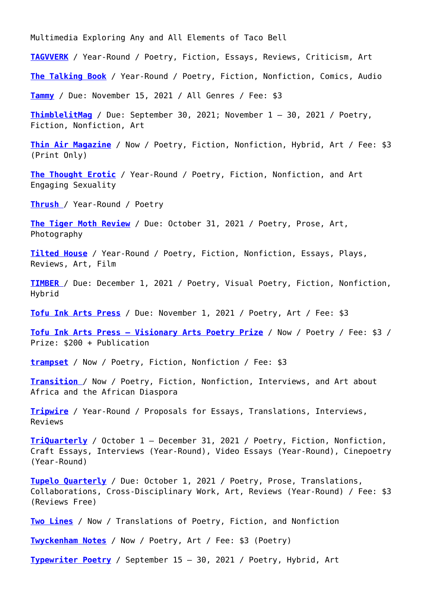Multimedia Exploring Any and All Elements of Taco Bell

**[TAGVVERK](https://tagvverk.info/submit-contact/)** / Year-Round / Poetry, Fiction, Essays, Reviews, Criticism, Art

**[The Talking Book](https://thetalkingbook.org/submit)** / Year-Round / Poetry, Fiction, Nonfiction, Comics, Audio

**[Tammy](https://tammy.submittable.com/submit)** / Due: November 15, 2021 / All Genres / Fee: \$3

**[ThimblelitMag](https://www.thimblelitmag.com/submissions/)** / Due: September 30, 2021; November 1 – 30, 2021 / Poetry, Fiction, Nonfiction, Art

**[Thin Air Magazine](https://thinair.submittable.com/submit)** / Now / Poetry, Fiction, Nonfiction, Hybrid, Art / Fee: \$3 (Print Only)

**[The Thought Erotic](https://thethoughterotic.com/submission-guidelines/)** / Year-Round / Poetry, Fiction, Nonfiction, and Art Engaging Sexuality

**[Thrush](http://www.thrushpoetryjournal.com/submissions.html)** / Year-Round / Poetry

**[The Tiger Moth Review](https://www.thetigermothreview.com/submit)** / Due: October 31, 2021 / Poetry, Prose, Art, Photography

**[Tilted House](http://www.tiltedhouse.org/)** / Year-Round / Poetry, Fiction, Nonfiction, Essays, Plays, Reviews, Art, Film

**[TIMBER](https://timberjournal.submittable.com/submit)** / Due: December 1, 2021 / Poetry, Visual Poetry, Fiction, Nonfiction, Hybrid

**[Tofu Ink Arts Press](https://www.tofuink.com/submit)** / Due: November 1, 2021 / Poetry, Art / Fee: \$3

**[Tofu Ink Arts Press — Visionary Arts Poetry Prize](https://www.tofuink.com/submit)** / Now / Poetry / Fee: \$3 / Prize: \$200 + Publication

**[trampset](https://trampset.submittable.com/submit?source=post_page-----6e83932b0985----------------------)** / Now / Poetry, Fiction, Nonfiction / Fee: \$3

**[Transition](https://transition.submittable.com/submit)** / Now / Poetry, Fiction, Nonfiction, Interviews, and Art about Africa and the African Diaspora

**[Tripwire](https://tripwirejournal.com/submissions/)** / Year-Round / Proposals for Essays, Translations, Interviews, Reviews

**[TriQuarterly](https://triquarterly.submittable.com/submit/)** / October 1 – December 31, 2021 / Poetry, Fiction, Nonfiction, Craft Essays, Interviews (Year-Round), Video Essays (Year-Round), Cinepoetry (Year-Round)

**[Tupelo Quarterly](https://tupeloquarterly.submittable.com/submit)** / Due: October 1, 2021 / Poetry, Prose, Translations, Collaborations, Cross-Disciplinary Work, Art, Reviews (Year-Round) / Fee: \$3 (Reviews Free)

**[Two Lines](https://twolines.submittable.com/submit)** / Now / Translations of Poetry, Fiction, and Nonfiction

**[Twyckenham Notes](https://twyckenhamnotes.com/submit/poetry-artwork/#poetry)** / Now / Poetry, Art / Fee: \$3 (Poetry)

**[Typewriter Poetry](https://www.typewriterpoetry.com/)** / September 15 – 30, 2021 / Poetry, Hybrid, Art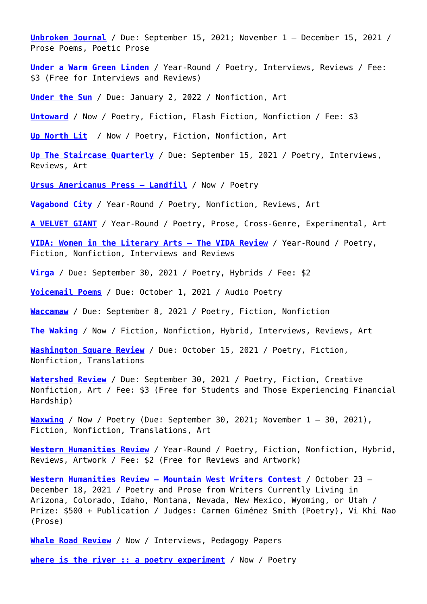**[Unbroken Journal](http://unbrokenjournal.com/submit)** / Due: September 15, 2021; November 1 – December 15, 2021 / Prose Poems, Poetic Prose

**[Under a Warm Green Linden](https://www.greenlindenpress.com/submit)** / Year-Round / Poetry, Interviews, Reviews / Fee: \$3 (Free for Interviews and Reviews)

**[Under the Sun](https://underthesunonline.com/wordpress/2021/submissions/)** / Due: January 2, 2022 / Nonfiction, Art

**[Untoward](https://untowardmag.submittable.com/Submit)** / Now / Poetry, Fiction, Flash Fiction, Nonfiction / Fee: \$3

**[Up North Lit](https://upnorthlit.org/submit#/general-submissions/)** / Now / Poetry, Fiction, Nonfiction, Art

**[Up The Staircase Quarterly](http://www.upthestaircase.org/submit.html)** / Due: September 15, 2021 / Poetry, Interviews, Reviews, Art

**[Ursus Americanus Press – Landfill](https://ursusamericanuslit.squarespace.com/submit/)** / Now / Poetry

**[Vagabond City](https://vagabondcitylit.com/submission-guidlines/)** / Year-Round / Poetry, Nonfiction, Reviews, Art

**[A VELVET GIANT](https://www.avelvetgiant.com/submit/)** / Year-Round / Poetry, Prose, Cross-Genre, Experimental, Art

**[VIDA: Women in the Literary Arts — The VIDA Review](https://www.vidaweb.org/vida-review/submit/)** / Year-Round / Poetry, Fiction, Nonfiction, Interviews and Reviews

**[Virga](https://virgamagazine.submittable.com/submit)** / Due: September 30, 2021 / Poetry, Hybrids / Fee: \$2

**[Voicemail Poems](https://voicemailpoems.org/submit/)** / Due: October 1, 2021 / Audio Poetry

**[Waccamaw](https://waccamawjournal.submittable.com/submit)** / Due: September 8, 2021 / Poetry, Fiction, Nonfiction

**[The Waking](https://ruminatemagazine.submittable.com/submit)** / Now / Fiction, Nonfiction, Hybrid, Interviews, Reviews, Art

**[Washington Square Review](https://www.washingtonsquarereview.com/submit/)** / Due: October 15, 2021 / Poetry, Fiction, Nonfiction, Translations

**[Watershed Review](https://watershedreview.com/submit/)** / Due: September 30, 2021 / Poetry, Fiction, Creative Nonfiction, Art / Fee: \$3 (Free for Students and Those Experiencing Financial Hardship)

**[Waxwing](https://waxwing.submittable.com/submit)** / Now / Poetry (Due: September 30, 2021; November 1 – 30, 2021), Fiction, Nonfiction, Translations, Art

**[Western Humanities Review](http://www.westernhumanitiesreview.com/submissions/)** / Year-Round / Poetry, Fiction, Nonfiction, Hybrid, Reviews, Artwork / Fee: \$2 (Free for Reviews and Artwork)

**[Western Humanities Review — Mountain West Writers Contest](http://www.westernhumanitiesreview.com/submissions/)** / October 23 – December 18, 2021 / Poetry and Prose from Writers Currently Living in Arizona, Colorado, Idaho, Montana, Nevada, New Mexico, Wyoming, or Utah / Prize: \$500 + Publication / Judges: Carmen Giménez Smith (Poetry), Vi Khi Nao (Prose)

**[Whale Road Review](http://www.whaleroadreview.com/submission-guidelines/)** / Now / Interviews, Pedagogy Papers

**[where is the river :: a poetry experiment](https://whereistheriver.blogspot.com/2017/09/submissions-where-is-river.html)** / Now / Poetry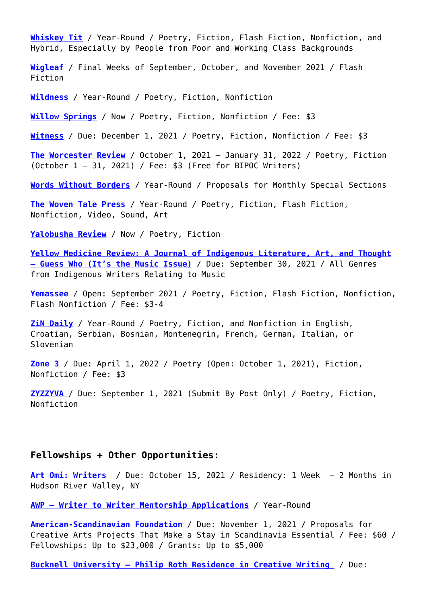**[Whiskey Tit](https://whiskeytit.submittable.com/submit)** / Year-Round / Poetry, Fiction, Flash Fiction, Nonfiction, and Hybrid, Especially by People from Poor and Working Class Backgrounds

**[Wigleaf](http://wigleaf.com/about.htm)** / Final Weeks of September, October, and November 2021 / Flash Fiction

**[Wildness](http://readwildness.com/submit)** / Year-Round / Poetry, Fiction, Nonfiction

**[Willow Springs](http://willowspringsmagazine.org/submit/)** / Now / Poetry, Fiction, Nonfiction / Fee: \$3

**[Witness](http://witness.blackmountaininstitute.org/submit/)** / Due: December 1, 2021 / Poetry, Fiction, Nonfiction / Fee: \$3

**[The Worcester Review](http://www.theworcesterreview.org/p/how-to-submit.html)** / October 1, 2021 – January 31, 2022 / Poetry, Fiction (October 1 – 31, 2021) / Fee: \$3 (Free for BIPOC Writers)

**[Words Without Borders](https://www.wordswithoutborders.org/submit/)** / Year-Round / Proposals for Monthly Special Sections

**[The Woven Tale Press](https://thewoventalepress.submittable.com/submit)** / Year-Round / Poetry, Fiction, Flash Fiction, Nonfiction, Video, Sound, Art

**[Yalobusha Review](https://yalobushareview.submittable.com/submit)** / Now / Poetry, Fiction

**[Yellow Medicine Review: A Journal of Indigenous Literature, Art, and Thought](http://www.yellowmedicinereview.com/id12.html) [— Guess Who \(It's the Music Issue\)](http://www.yellowmedicinereview.com/id12.html)** / Due: September 30, 2021 / All Genres from Indigenous Writers Relating to Music

**[Yemassee](https://yemassee.submittable.com/submit)** / Open: September 2021 / Poetry, Fiction, Flash Fiction, Nonfiction, Flash Nonfiction / Fee: \$3-4

**[ZiN Daily](https://www.zvonainari.hr/contact)** / Year-Round / Poetry, Fiction, and Nonfiction in English, Croatian, Serbian, Bosnian, Montenegrin, French, German, Italian, or Slovenian

<span id="page-27-0"></span>**[Zone 3](https://zone3press.submittable.com/submit)** / Due: April 1, 2022 / Poetry (Open: October 1, 2021), Fiction, Nonfiction / Fee: \$3

**[ZYZZYVA](http://www.zyzzyva.org/about/submissions/)** / Due: September 1, 2021 (Submit By Post Only) / Poetry, Fiction, Nonfiction

#### **Fellowships + Other Opportunities:**

**[Art Omi: Writers](https://artomi.submittable.com/submit)** / Due: October 15, 2021 / Residency: 1 Week – 2 Months in Hudson River Valley, NY

**[AWP — Writer to Writer Mentorship Applications](https://awp.submittable.com/submit)** / Year-Round

**[American-Scandinavian Foundation](http://www.amscan.org/fellowships-and-grants/fellowshipsgrants-to-study-in-scandinavia/)** / Due: November 1, 2021 / Proposals for Creative Arts Projects That Make a Stay in Scandinavia Essential / Fee: \$60 / Fellowships: Up to \$23,000 / Grants: Up to \$5,000

**[Bucknell University — Philip Roth Residence in Creative Writing](https://www.bucknell.edu/academics/beyond-classroom/academic-centers-institutes/stadler-center-poetry-literary-arts/programs-residencies/philip-roth-residence-creative-writing)** / Due: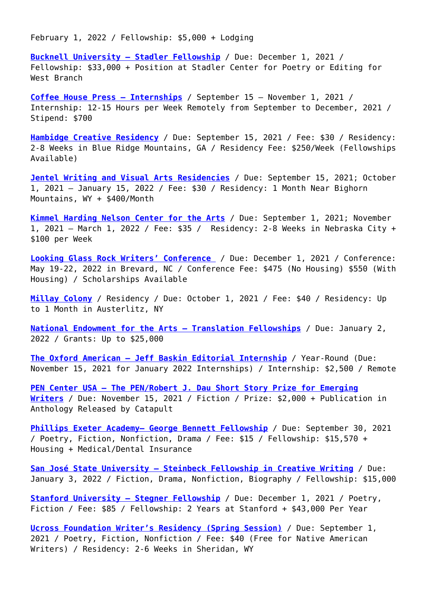February 1, 2022 / Fellowship: \$5,000 + Lodging

**[Bucknell University — Stadler Fellowship](https://www.bucknell.edu/academics/beyond-classroom/academic-centers-institutes/stadler-center-poetry-literary-arts/programs-residencies/stadler-fellowships)** / Due: December 1, 2021 / Fellowship: \$33,000 + Position at Stadler Center for Poetry or Editing for West Branch

**[Coffee House Press – Internships](https://coffeehousepress.org/pages/internships)** / September 15 – November 1, 2021 / Internship: 12-15 Hours per Week Remotely from September to December, 2021 / Stipend: \$700

**[Hambidge Creative Residency](http://www.hambidge.org/application.html)** / Due: September 15, 2021 / Fee: \$30 / Residency: 2-8 Weeks in Blue Ridge Mountains, GA / Residency Fee: \$250/Week (Fellowships Available)

**[Jentel Writing and Visual Arts Residencies](https://jentelartistresidency.submittable.com/submit)** / Due: September 15, 2021; October 1, 2021 – January 15, 2022 / Fee: \$30 / Residency: 1 Month Near Bighorn Mountains, WY + \$400/Month

**[Kimmel Harding Nelson Center for the Arts](https://www.khncenterforthearts.org/residency/how-apply)** / Due: September 1, 2021; November 1, 2021 – March 1, 2022 / Fee: \$35 / Residency: 2-8 Weeks in Nebraska City + \$100 per Week

**[Looking Glass Rock Writers' Conference](https://www.lgrwc.org/apply)** / Due: December 1, 2021 / Conference: May 19-22, 2022 in Brevard, NC / Conference Fee: \$475 (No Housing) \$550 (With Housing) / Scholarships Available

**[Millay Colony](https://millayarts.submittable.com/submit)** / Residency / Due: October 1, 2021 / Fee: \$40 / Residency: Up to 1 Month in Austerlitz, NY

**[National Endowment for the Arts — Translation Fellowships](https://www.arts.gov/grants/translation-projects/application-calendar)** / Due: January 2, 2022 / Grants: Up to \$25,000

**[The Oxford American — Jeff Baskin Editorial Internship](https://www.oxfordamerican.org/about/fellowship)** / Year-Round (Due: November 15, 2021 for January 2022 Internships) / Internship: \$2,500 / Remote

**[PEN Center USA – The PEN/Robert J. Dau Short Story Prize for Emerging](https://pen.org/pen-dau-short-story-prize/) [Writers](https://pen.org/pen-dau-short-story-prize/)** / Due: November 15, 2021 / Fiction / Prize: \$2,000 + Publication in Anthology Released by Catapult

**[Phillips Exeter Academy– George Bennett Fellowship](https://www.exeter.edu/about-us/career-opportunities/fellowships/writer-residence-george-bennett-fellowship)** / Due: September 30, 2021 / Poetry, Fiction, Nonfiction, Drama / Fee: \$15 / Fellowship: \$15,570 + Housing + Medical/Dental Insurance

**[San José State University — Steinbeck Fellowship in Creative Writing](https://www.sjsu.edu/steinbeck/fellows/steinbeckfellows_apply/index.html)** / Due: January 3, 2022 / Fiction, Drama, Nonfiction, Biography / Fellowship: \$15,000

**[Stanford University — Stegner Fellowship](http://creativewriting.stanford.edu/about-the-fellowship)** / Due: December 1, 2021 / Poetry, Fiction / Fee: \$85 / Fellowship: 2 Years at Stanford + \$43,000 Per Year

**[Ucross Foundation Writer's Residency \(Spring Session\)](https://www.ucrossfoundation.org/)** / Due: September 1, 2021 / Poetry, Fiction, Nonfiction / Fee: \$40 (Free for Native American Writers) / Residency: 2-6 Weeks in Sheridan, WY